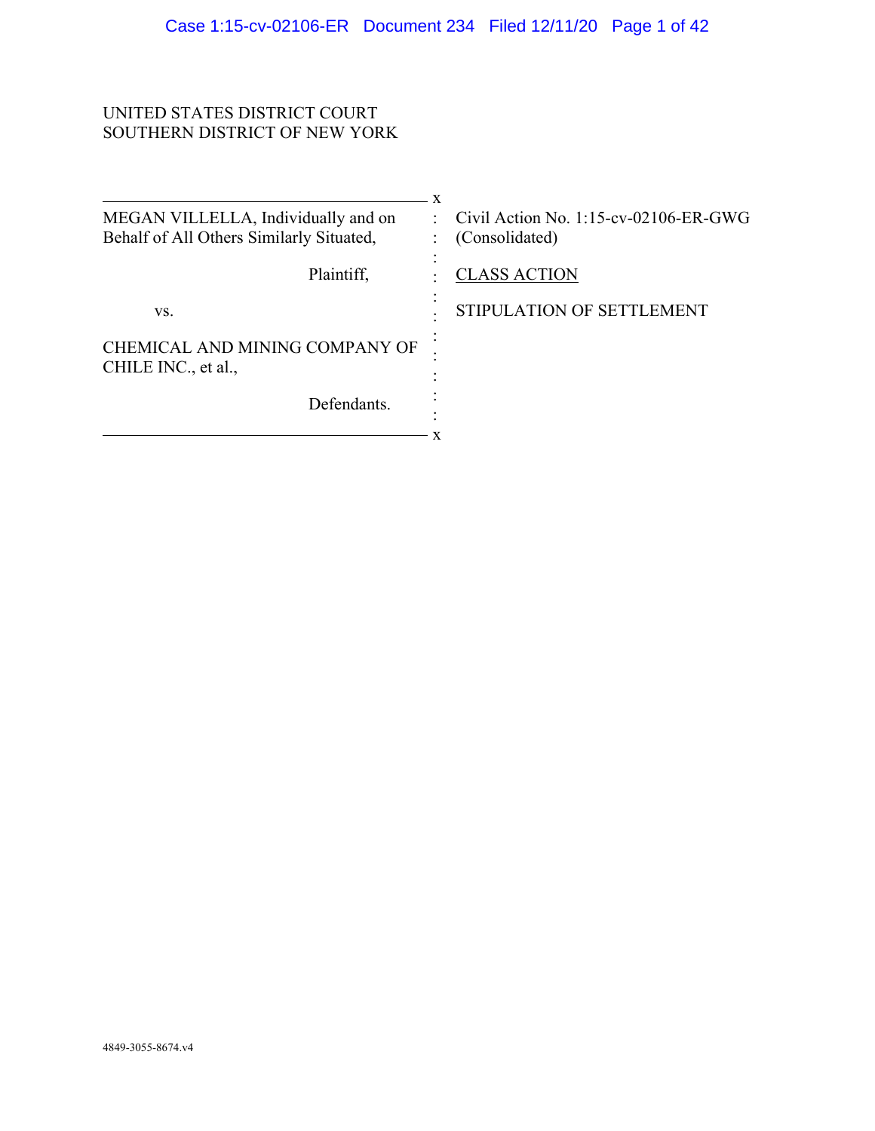# UNITED STATES DISTRICT COURT SOUTHERN DISTRICT OF NEW YORK

| MEGAN VILLELLA, Individually and on<br>Behalf of All Others Similarly Situated, |             | Civil Action No. $1:15$ -cv-02106-ER-GWG<br>(Consolidated) |
|---------------------------------------------------------------------------------|-------------|------------------------------------------------------------|
| Plaintiff,                                                                      |             | <b>CLASS ACTION</b>                                        |
| VS.                                                                             |             | STIPULATION OF SETTLEMENT                                  |
| CHEMICAL AND MINING COMPANY OF<br>CHILE INC., et al.,                           |             |                                                            |
|                                                                                 | Defendants. |                                                            |
|                                                                                 |             |                                                            |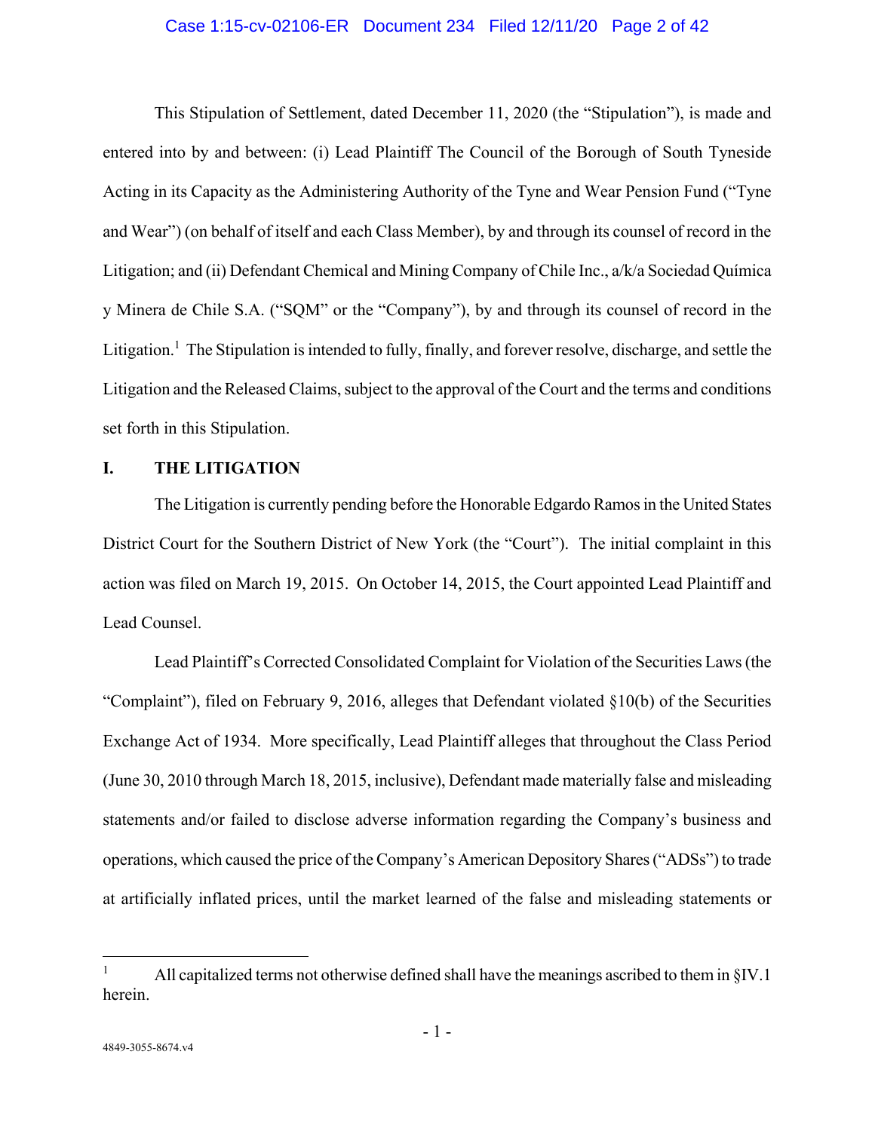### Case 1:15-cv-02106-ER Document 234 Filed 12/11/20 Page 2 of 42

This Stipulation of Settlement, dated December 11, 2020 (the "Stipulation"), is made and entered into by and between: (i) Lead Plaintiff The Council of the Borough of South Tyneside Acting in its Capacity as the Administering Authority of the Tyne and Wear Pension Fund ("Tyne and Wear") (on behalf of itself and each Class Member), by and through its counsel of record in the Litigation; and (ii) Defendant Chemical and Mining Company of Chile Inc., a/k/a Sociedad Química y Minera de Chile S.A. ("SQM" or the "Company"), by and through its counsel of record in the Litigation.<sup>1</sup> The Stipulation is intended to fully, finally, and forever resolve, discharge, and settle the Litigation and the Released Claims, subject to the approval of the Court and the terms and conditions set forth in this Stipulation.

### **I. THE LITIGATION**

The Litigation is currently pending before the Honorable Edgardo Ramos in the United States District Court for the Southern District of New York (the "Court"). The initial complaint in this action was filed on March 19, 2015. On October 14, 2015, the Court appointed Lead Plaintiff and Lead Counsel.

Lead Plaintiff's Corrected Consolidated Complaint for Violation of the Securities Laws (the "Complaint"), filed on February 9, 2016, alleges that Defendant violated §10(b) of the Securities Exchange Act of 1934. More specifically, Lead Plaintiff alleges that throughout the Class Period (June 30, 2010 through March 18, 2015, inclusive), Defendant made materially false and misleading statements and/or failed to disclose adverse information regarding the Company's business and operations, which caused the price of the Company's American Depository Shares ("ADSs") to trade at artificially inflated prices, until the market learned of the false and misleading statements or

 $\overline{a}$ 

<sup>1</sup> All capitalized terms not otherwise defined shall have the meanings ascribed to them in §IV.1 herein.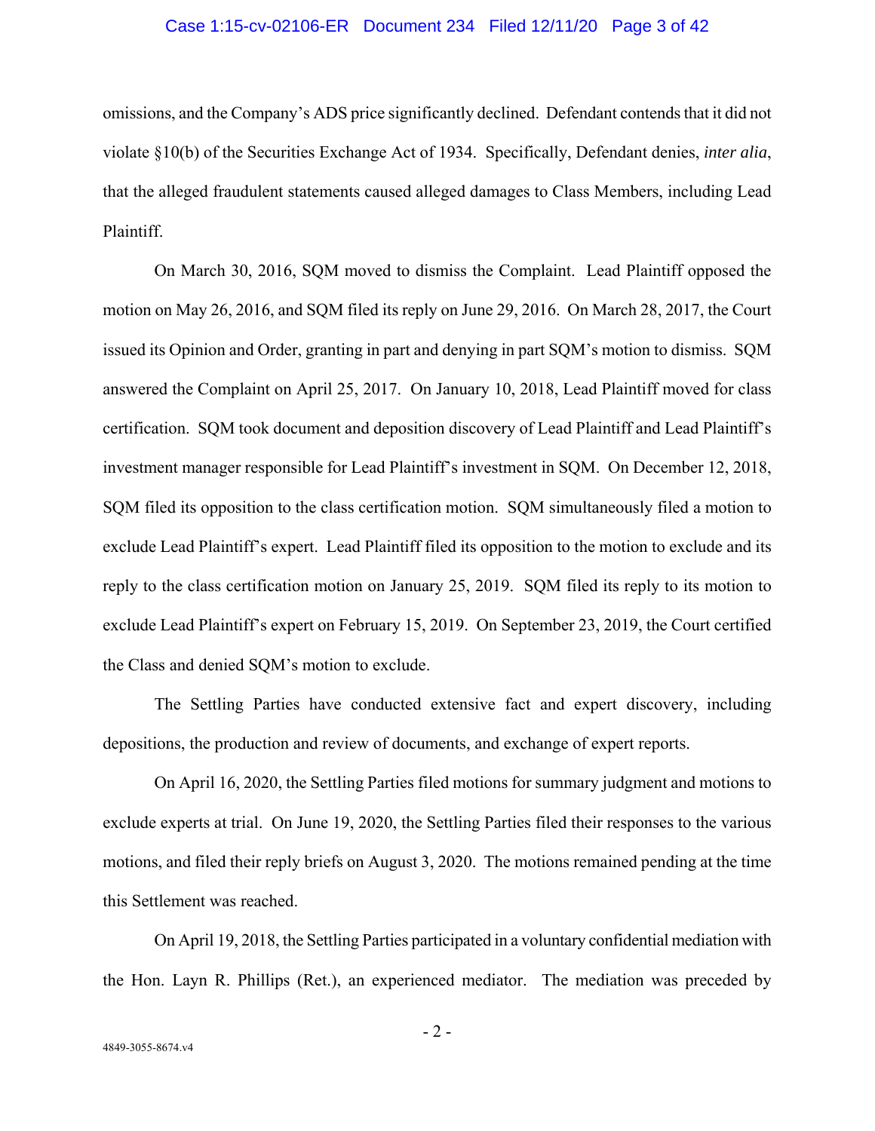### Case 1:15-cv-02106-ER Document 234 Filed 12/11/20 Page 3 of 42

omissions, and the Company's ADS price significantly declined. Defendant contends that it did not violate §10(b) of the Securities Exchange Act of 1934. Specifically, Defendant denies, *inter alia*, that the alleged fraudulent statements caused alleged damages to Class Members, including Lead Plaintiff.

On March 30, 2016, SQM moved to dismiss the Complaint. Lead Plaintiff opposed the motion on May 26, 2016, and SQM filed its reply on June 29, 2016. On March 28, 2017, the Court issued its Opinion and Order, granting in part and denying in part SQM's motion to dismiss. SQM answered the Complaint on April 25, 2017. On January 10, 2018, Lead Plaintiff moved for class certification. SQM took document and deposition discovery of Lead Plaintiff and Lead Plaintiff's investment manager responsible for Lead Plaintiff's investment in SQM. On December 12, 2018, SQM filed its opposition to the class certification motion. SQM simultaneously filed a motion to exclude Lead Plaintiff's expert. Lead Plaintiff filed its opposition to the motion to exclude and its reply to the class certification motion on January 25, 2019. SQM filed its reply to its motion to exclude Lead Plaintiff's expert on February 15, 2019. On September 23, 2019, the Court certified the Class and denied SQM's motion to exclude.

The Settling Parties have conducted extensive fact and expert discovery, including depositions, the production and review of documents, and exchange of expert reports.

On April 16, 2020, the Settling Parties filed motions for summary judgment and motions to exclude experts at trial. On June 19, 2020, the Settling Parties filed their responses to the various motions, and filed their reply briefs on August 3, 2020. The motions remained pending at the time this Settlement was reached.

On April 19, 2018, the Settling Parties participated in a voluntary confidential mediation with the Hon. Layn R. Phillips (Ret.), an experienced mediator. The mediation was preceded by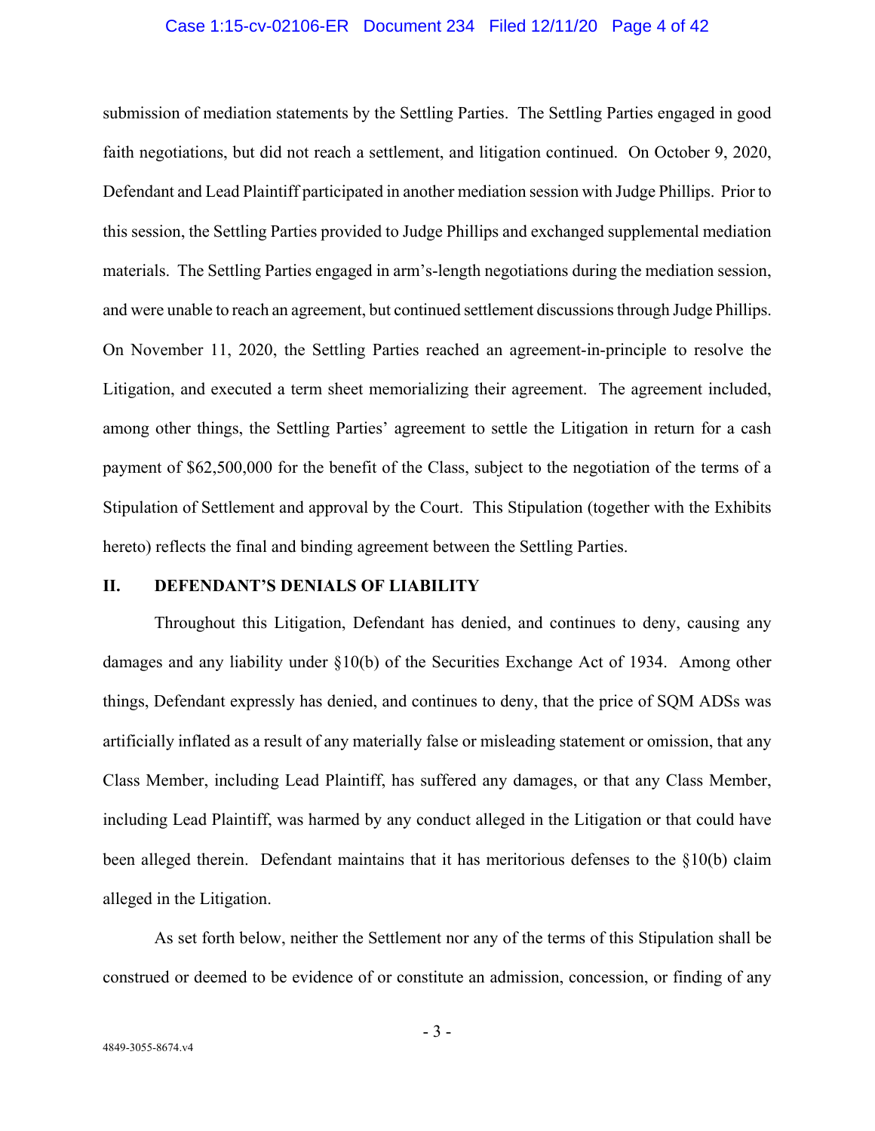### Case 1:15-cv-02106-ER Document 234 Filed 12/11/20 Page 4 of 42

submission of mediation statements by the Settling Parties. The Settling Parties engaged in good faith negotiations, but did not reach a settlement, and litigation continued. On October 9, 2020, Defendant and Lead Plaintiff participated in another mediation session with Judge Phillips. Prior to this session, the Settling Parties provided to Judge Phillips and exchanged supplemental mediation materials. The Settling Parties engaged in arm's-length negotiations during the mediation session, and were unable to reach an agreement, but continued settlement discussions through Judge Phillips. On November 11, 2020, the Settling Parties reached an agreement-in-principle to resolve the Litigation, and executed a term sheet memorializing their agreement. The agreement included, among other things, the Settling Parties' agreement to settle the Litigation in return for a cash payment of \$62,500,000 for the benefit of the Class, subject to the negotiation of the terms of a Stipulation of Settlement and approval by the Court. This Stipulation (together with the Exhibits hereto) reflects the final and binding agreement between the Settling Parties.

### **II. DEFENDANT'S DENIALS OF LIABILITY**

Throughout this Litigation, Defendant has denied, and continues to deny, causing any damages and any liability under §10(b) of the Securities Exchange Act of 1934. Among other things, Defendant expressly has denied, and continues to deny, that the price of SQM ADSs was artificially inflated as a result of any materially false or misleading statement or omission, that any Class Member, including Lead Plaintiff, has suffered any damages, or that any Class Member, including Lead Plaintiff, was harmed by any conduct alleged in the Litigation or that could have been alleged therein. Defendant maintains that it has meritorious defenses to the §10(b) claim alleged in the Litigation.

As set forth below, neither the Settlement nor any of the terms of this Stipulation shall be construed or deemed to be evidence of or constitute an admission, concession, or finding of any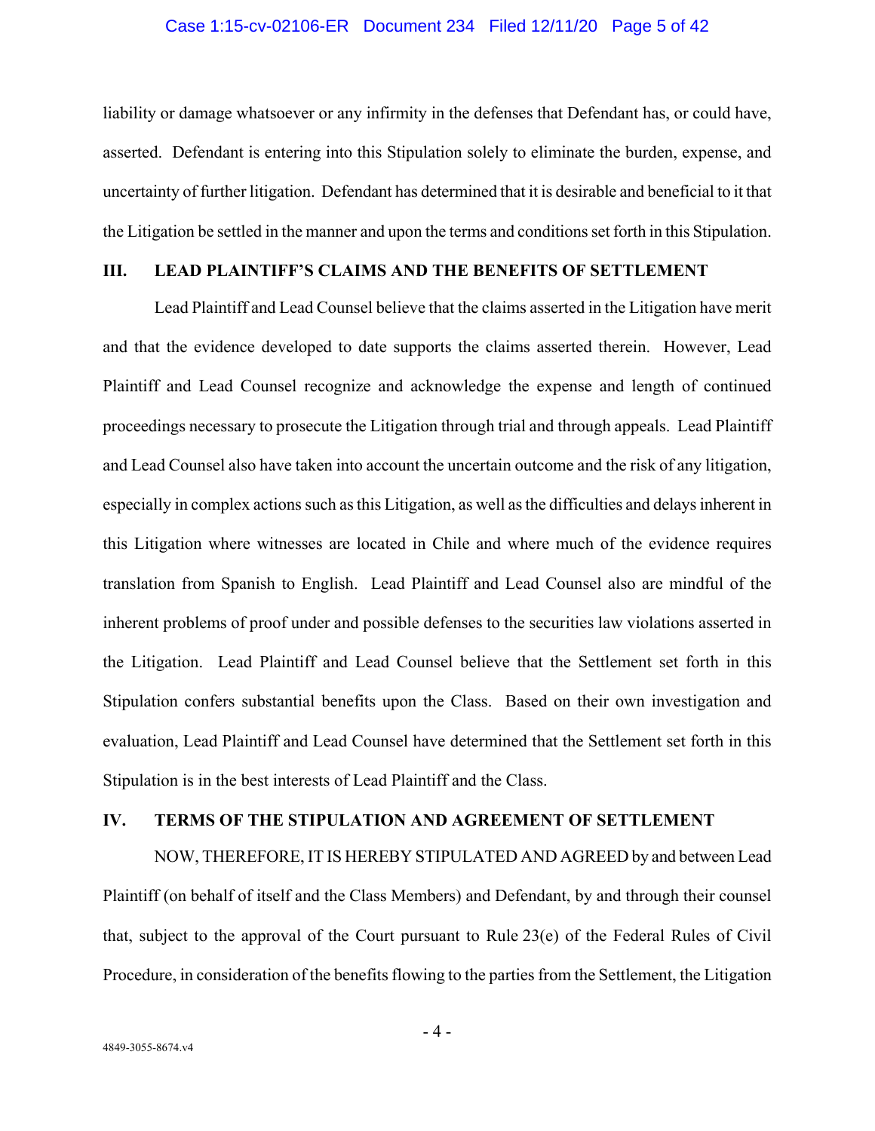### Case 1:15-cv-02106-ER Document 234 Filed 12/11/20 Page 5 of 42

liability or damage whatsoever or any infirmity in the defenses that Defendant has, or could have, asserted. Defendant is entering into this Stipulation solely to eliminate the burden, expense, and uncertainty of further litigation. Defendant has determined that it is desirable and beneficial to it that the Litigation be settled in the manner and upon the terms and conditions set forth in this Stipulation.

### **III. LEAD PLAINTIFF'S CLAIMS AND THE BENEFITS OF SETTLEMENT**

Lead Plaintiff and Lead Counsel believe that the claims asserted in the Litigation have merit and that the evidence developed to date supports the claims asserted therein. However, Lead Plaintiff and Lead Counsel recognize and acknowledge the expense and length of continued proceedings necessary to prosecute the Litigation through trial and through appeals. Lead Plaintiff and Lead Counsel also have taken into account the uncertain outcome and the risk of any litigation, especially in complex actions such as this Litigation, as well as the difficulties and delays inherent in this Litigation where witnesses are located in Chile and where much of the evidence requires translation from Spanish to English. Lead Plaintiff and Lead Counsel also are mindful of the inherent problems of proof under and possible defenses to the securities law violations asserted in the Litigation. Lead Plaintiff and Lead Counsel believe that the Settlement set forth in this Stipulation confers substantial benefits upon the Class. Based on their own investigation and evaluation, Lead Plaintiff and Lead Counsel have determined that the Settlement set forth in this Stipulation is in the best interests of Lead Plaintiff and the Class.

## **IV. TERMS OF THE STIPULATION AND AGREEMENT OF SETTLEMENT**

NOW, THEREFORE, IT IS HEREBY STIPULATED AND AGREED by and between Lead Plaintiff (on behalf of itself and the Class Members) and Defendant, by and through their counsel that, subject to the approval of the Court pursuant to Rule 23(e) of the Federal Rules of Civil Procedure, in consideration of the benefits flowing to the parties from the Settlement, the Litigation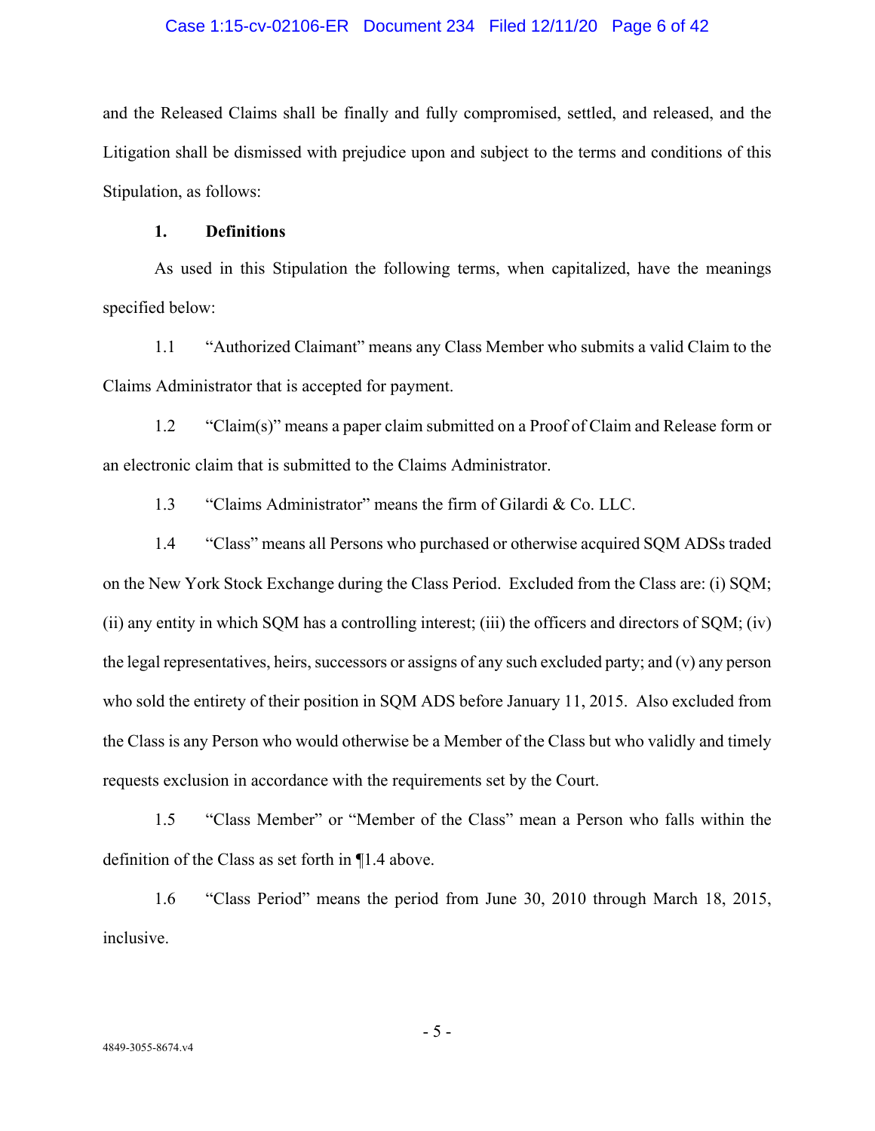### Case 1:15-cv-02106-ER Document 234 Filed 12/11/20 Page 6 of 42

and the Released Claims shall be finally and fully compromised, settled, and released, and the Litigation shall be dismissed with prejudice upon and subject to the terms and conditions of this Stipulation, as follows:

### **1. Definitions**

As used in this Stipulation the following terms, when capitalized, have the meanings specified below:

1.1 "Authorized Claimant" means any Class Member who submits a valid Claim to the Claims Administrator that is accepted for payment.

1.2 "Claim(s)" means a paper claim submitted on a Proof of Claim and Release form or an electronic claim that is submitted to the Claims Administrator.

1.3 "Claims Administrator" means the firm of Gilardi & Co. LLC.

1.4 "Class" means all Persons who purchased or otherwise acquired SQM ADSs traded on the New York Stock Exchange during the Class Period. Excluded from the Class are: (i) SQM; (ii) any entity in which SQM has a controlling interest; (iii) the officers and directors of SQM; (iv) the legal representatives, heirs, successors or assigns of any such excluded party; and (v) any person who sold the entirety of their position in SQM ADS before January 11, 2015. Also excluded from the Class is any Person who would otherwise be a Member of the Class but who validly and timely requests exclusion in accordance with the requirements set by the Court.

1.5 "Class Member" or "Member of the Class" mean a Person who falls within the definition of the Class as set forth in ¶1.4 above.

1.6 "Class Period" means the period from June 30, 2010 through March 18, 2015, inclusive.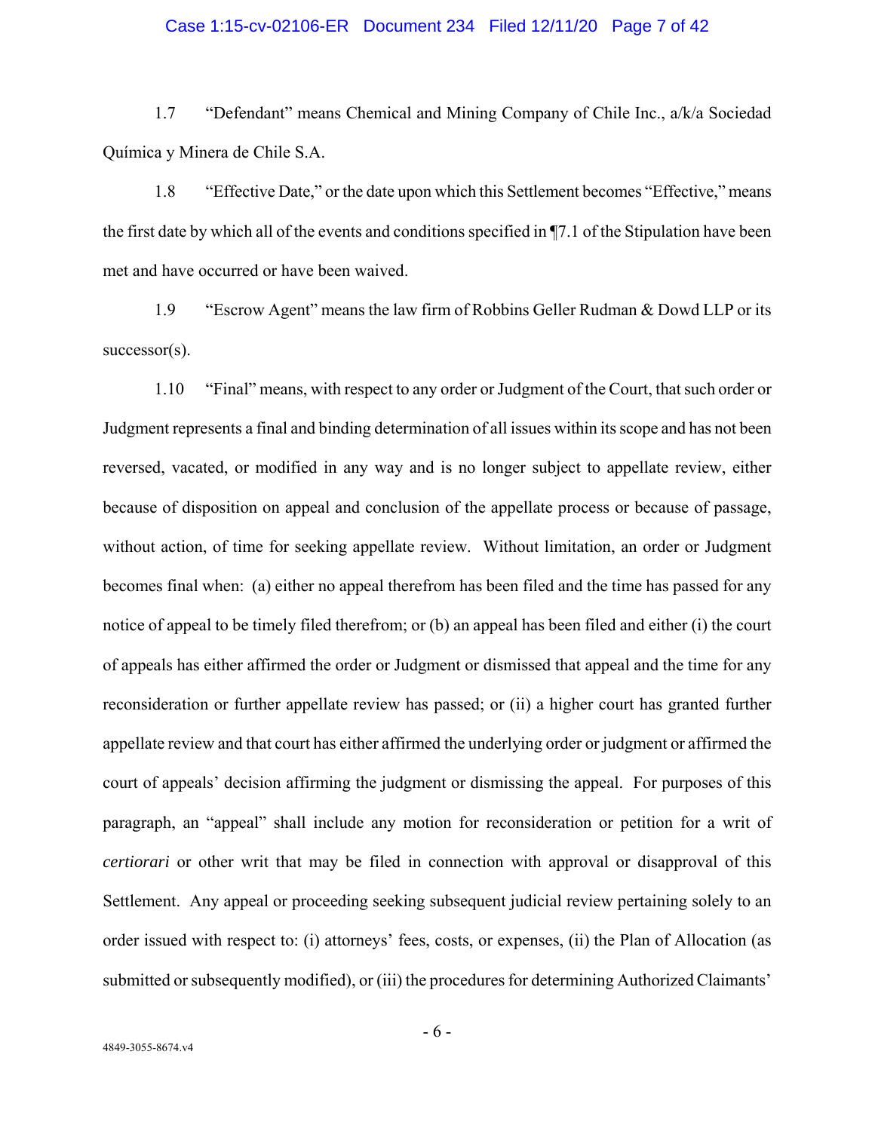### Case 1:15-cv-02106-ER Document 234 Filed 12/11/20 Page 7 of 42

1.7 "Defendant" means Chemical and Mining Company of Chile Inc., a/k/a Sociedad Química y Minera de Chile S.A.

1.8 "Effective Date," or the date upon which this Settlement becomes "Effective," means the first date by which all of the events and conditions specified in ¶7.1 of the Stipulation have been met and have occurred or have been waived.

1.9 "Escrow Agent" means the law firm of Robbins Geller Rudman & Dowd LLP or its successor(s).

1.10 "Final" means, with respect to any order or Judgment of the Court, that such order or Judgment represents a final and binding determination of all issues within its scope and has not been reversed, vacated, or modified in any way and is no longer subject to appellate review, either because of disposition on appeal and conclusion of the appellate process or because of passage, without action, of time for seeking appellate review. Without limitation, an order or Judgment becomes final when: (a) either no appeal therefrom has been filed and the time has passed for any notice of appeal to be timely filed therefrom; or (b) an appeal has been filed and either (i) the court of appeals has either affirmed the order or Judgment or dismissed that appeal and the time for any reconsideration or further appellate review has passed; or (ii) a higher court has granted further appellate review and that court has either affirmed the underlying order or judgment or affirmed the court of appeals' decision affirming the judgment or dismissing the appeal. For purposes of this paragraph, an "appeal" shall include any motion for reconsideration or petition for a writ of *certiorari* or other writ that may be filed in connection with approval or disapproval of this Settlement. Any appeal or proceeding seeking subsequent judicial review pertaining solely to an order issued with respect to: (i) attorneys' fees, costs, or expenses, (ii) the Plan of Allocation (as submitted or subsequently modified), or (iii) the procedures for determining Authorized Claimants'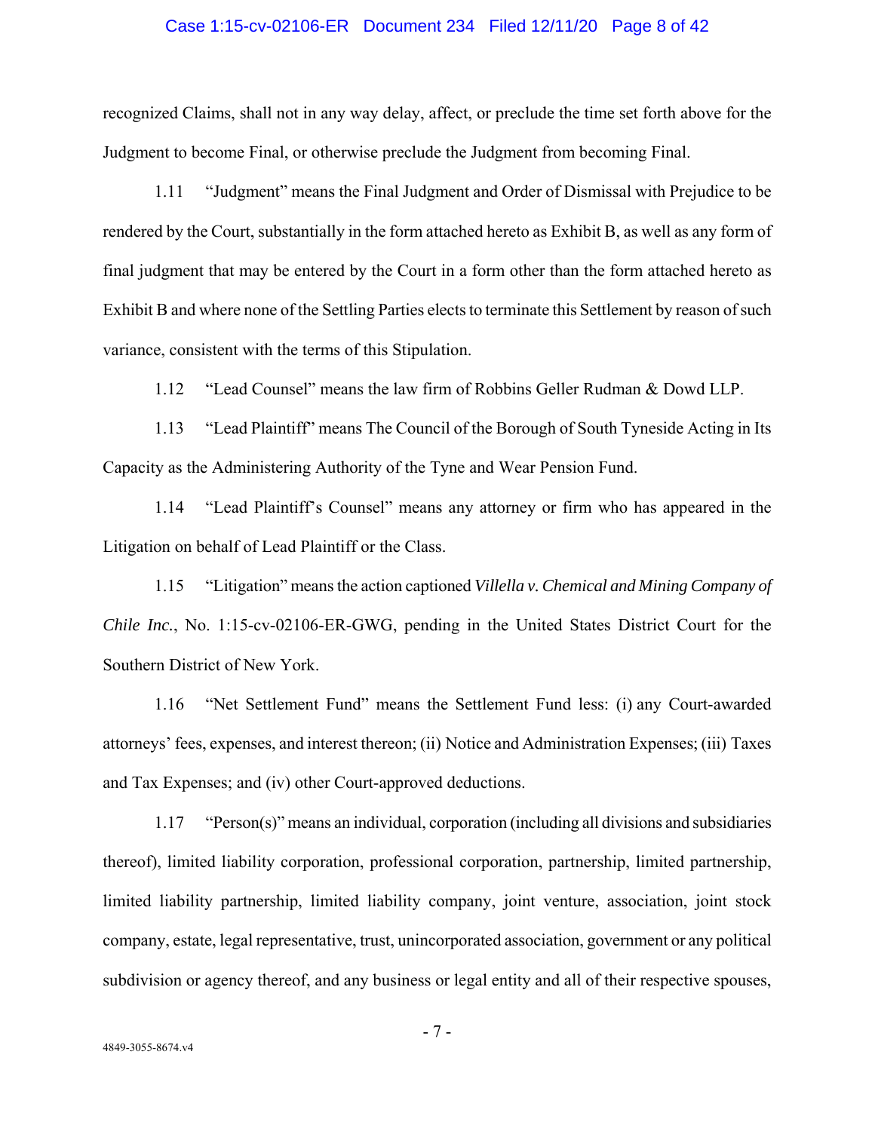### Case 1:15-cv-02106-ER Document 234 Filed 12/11/20 Page 8 of 42

recognized Claims, shall not in any way delay, affect, or preclude the time set forth above for the Judgment to become Final, or otherwise preclude the Judgment from becoming Final.

1.11 "Judgment" means the Final Judgment and Order of Dismissal with Prejudice to be rendered by the Court, substantially in the form attached hereto as Exhibit B, as well as any form of final judgment that may be entered by the Court in a form other than the form attached hereto as Exhibit B and where none of the Settling Parties elects to terminate this Settlement by reason of such variance, consistent with the terms of this Stipulation.

1.12 "Lead Counsel" means the law firm of Robbins Geller Rudman & Dowd LLP.

1.13 "Lead Plaintiff" means The Council of the Borough of South Tyneside Acting in Its Capacity as the Administering Authority of the Tyne and Wear Pension Fund.

1.14 "Lead Plaintiff's Counsel" means any attorney or firm who has appeared in the Litigation on behalf of Lead Plaintiff or the Class.

1.15 "Litigation" means the action captioned *Villella v. Chemical and Mining Company of Chile Inc.*, No. 1:15-cv-02106-ER-GWG, pending in the United States District Court for the Southern District of New York.

1.16 "Net Settlement Fund" means the Settlement Fund less: (i) any Court-awarded attorneys' fees, expenses, and interest thereon; (ii) Notice and Administration Expenses; (iii) Taxes and Tax Expenses; and (iv) other Court-approved deductions.

1.17 "Person(s)" means an individual, corporation (including all divisions and subsidiaries thereof), limited liability corporation, professional corporation, partnership, limited partnership, limited liability partnership, limited liability company, joint venture, association, joint stock company, estate, legal representative, trust, unincorporated association, government or any political subdivision or agency thereof, and any business or legal entity and all of their respective spouses,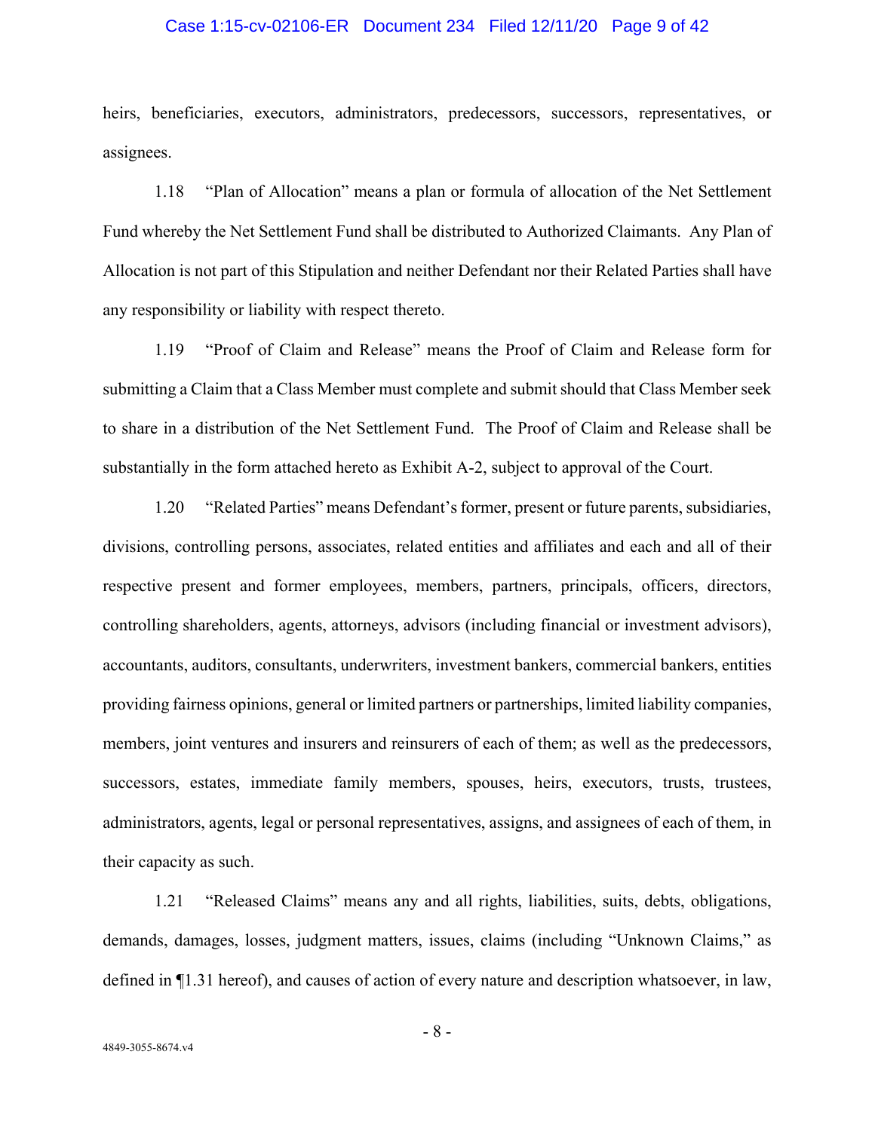### Case 1:15-cv-02106-ER Document 234 Filed 12/11/20 Page 9 of 42

heirs, beneficiaries, executors, administrators, predecessors, successors, representatives, or assignees.

1.18 "Plan of Allocation" means a plan or formula of allocation of the Net Settlement Fund whereby the Net Settlement Fund shall be distributed to Authorized Claimants. Any Plan of Allocation is not part of this Stipulation and neither Defendant nor their Related Parties shall have any responsibility or liability with respect thereto.

1.19 "Proof of Claim and Release" means the Proof of Claim and Release form for submitting a Claim that a Class Member must complete and submit should that Class Member seek to share in a distribution of the Net Settlement Fund. The Proof of Claim and Release shall be substantially in the form attached hereto as Exhibit A-2, subject to approval of the Court.

1.20 "Related Parties" means Defendant's former, present or future parents, subsidiaries, divisions, controlling persons, associates, related entities and affiliates and each and all of their respective present and former employees, members, partners, principals, officers, directors, controlling shareholders, agents, attorneys, advisors (including financial or investment advisors), accountants, auditors, consultants, underwriters, investment bankers, commercial bankers, entities providing fairness opinions, general or limited partners or partnerships, limited liability companies, members, joint ventures and insurers and reinsurers of each of them; as well as the predecessors, successors, estates, immediate family members, spouses, heirs, executors, trusts, trustees, administrators, agents, legal or personal representatives, assigns, and assignees of each of them, in their capacity as such.

1.21 "Released Claims" means any and all rights, liabilities, suits, debts, obligations, demands, damages, losses, judgment matters, issues, claims (including "Unknown Claims," as defined in ¶1.31 hereof), and causes of action of every nature and description whatsoever, in law,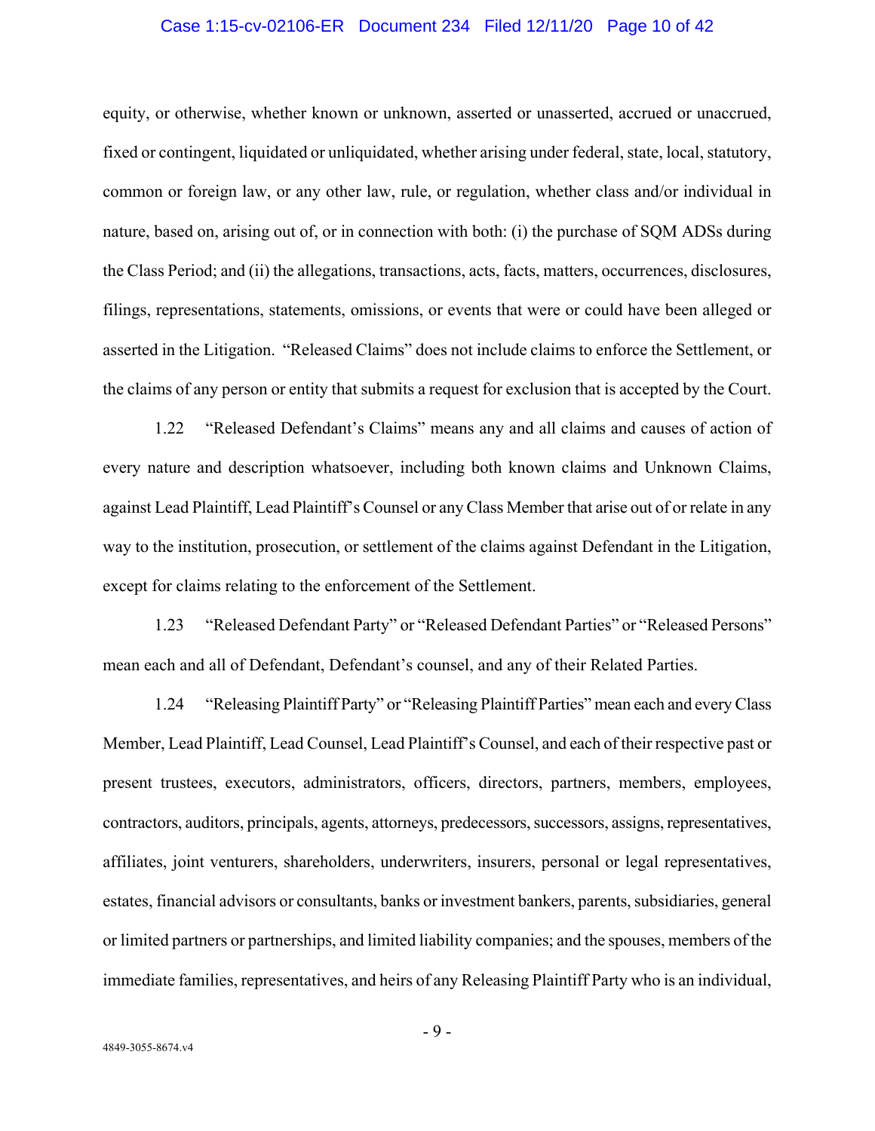### Case 1:15-cv-02106-ER Document 234 Filed 12/11/20 Page 10 of 42

equity, or otherwise, whether known or unknown, asserted or unasserted, accrued or unaccrued, fixed or contingent, liquidated or unliquidated, whether arising under federal, state, local, statutory, common or foreign law, or any other law, rule, or regulation, whether class and/or individual in nature, based on, arising out of, or in connection with both: (i) the purchase of SQM ADSs during the Class Period; and (ii) the allegations, transactions, acts, facts, matters, occurrences, disclosures, filings, representations, statements, omissions, or events that were or could have been alleged or asserted in the Litigation. "Released Claims" does not include claims to enforce the Settlement, or the claims of any person or entity that submits a request for exclusion that is accepted by the Court.

1.22 "Released Defendant's Claims" means any and all claims and causes of action of every nature and description whatsoever, including both known claims and Unknown Claims, against Lead Plaintiff, Lead Plaintiff's Counsel or any Class Member that arise out of or relate in any way to the institution, prosecution, or settlement of the claims against Defendant in the Litigation, except for claims relating to the enforcement of the Settlement.

1.23 "Released Defendant Party" or "Released Defendant Parties" or "Released Persons" mean each and all of Defendant, Defendant's counsel, and any of their Related Parties.

1.24 "Releasing Plaintiff Party" or "Releasing Plaintiff Parties" mean each and every Class Member, Lead Plaintiff, Lead Counsel, Lead Plaintiff's Counsel, and each of their respective past or present trustees, executors, administrators, officers, directors, partners, members, employees, contractors, auditors, principals, agents, attorneys, predecessors, successors, assigns, representatives, affiliates, joint venturers, shareholders, underwriters, insurers, personal or legal representatives, estates, financial advisors or consultants, banks or investment bankers, parents, subsidiaries, general or limited partners or partnerships, and limited liability companies; and the spouses, members of the immediate families, representatives, and heirs of any Releasing Plaintiff Party who is an individual,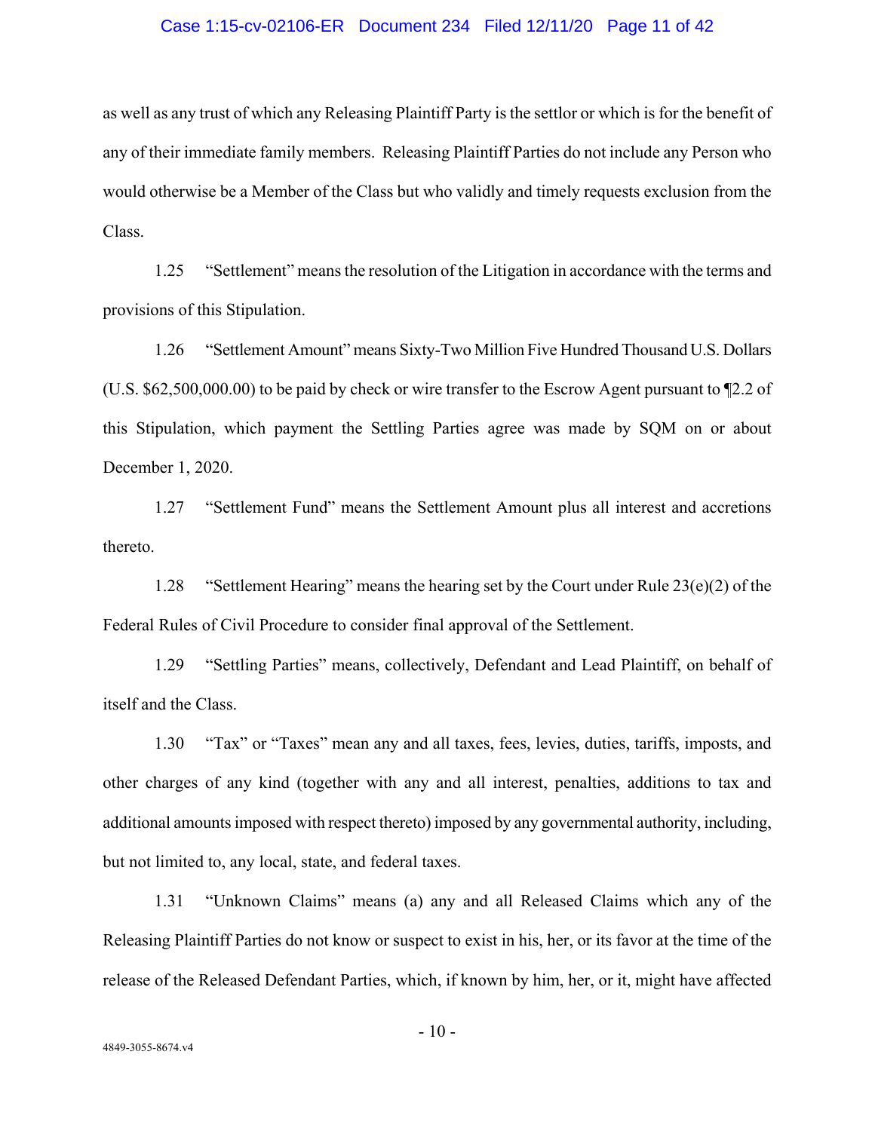### Case 1:15-cv-02106-ER Document 234 Filed 12/11/20 Page 11 of 42

as well as any trust of which any Releasing Plaintiff Party is the settlor or which is for the benefit of any of their immediate family members. Releasing Plaintiff Parties do not include any Person who would otherwise be a Member of the Class but who validly and timely requests exclusion from the Class.

1.25 "Settlement" means the resolution of the Litigation in accordance with the terms and provisions of this Stipulation.

1.26 "Settlement Amount" means Sixty-Two Million Five Hundred Thousand U.S. Dollars (U.S. \$62,500,000.00) to be paid by check or wire transfer to the Escrow Agent pursuant to ¶2.2 of this Stipulation, which payment the Settling Parties agree was made by SQM on or about December 1, 2020.

1.27 "Settlement Fund" means the Settlement Amount plus all interest and accretions thereto.

1.28 "Settlement Hearing" means the hearing set by the Court under Rule 23(e)(2) of the Federal Rules of Civil Procedure to consider final approval of the Settlement.

1.29 "Settling Parties" means, collectively, Defendant and Lead Plaintiff, on behalf of itself and the Class.

1.30 "Tax" or "Taxes" mean any and all taxes, fees, levies, duties, tariffs, imposts, and other charges of any kind (together with any and all interest, penalties, additions to tax and additional amounts imposed with respect thereto) imposed by any governmental authority, including, but not limited to, any local, state, and federal taxes.

1.31 "Unknown Claims" means (a) any and all Released Claims which any of the Releasing Plaintiff Parties do not know or suspect to exist in his, her, or its favor at the time of the release of the Released Defendant Parties, which, if known by him, her, or it, might have affected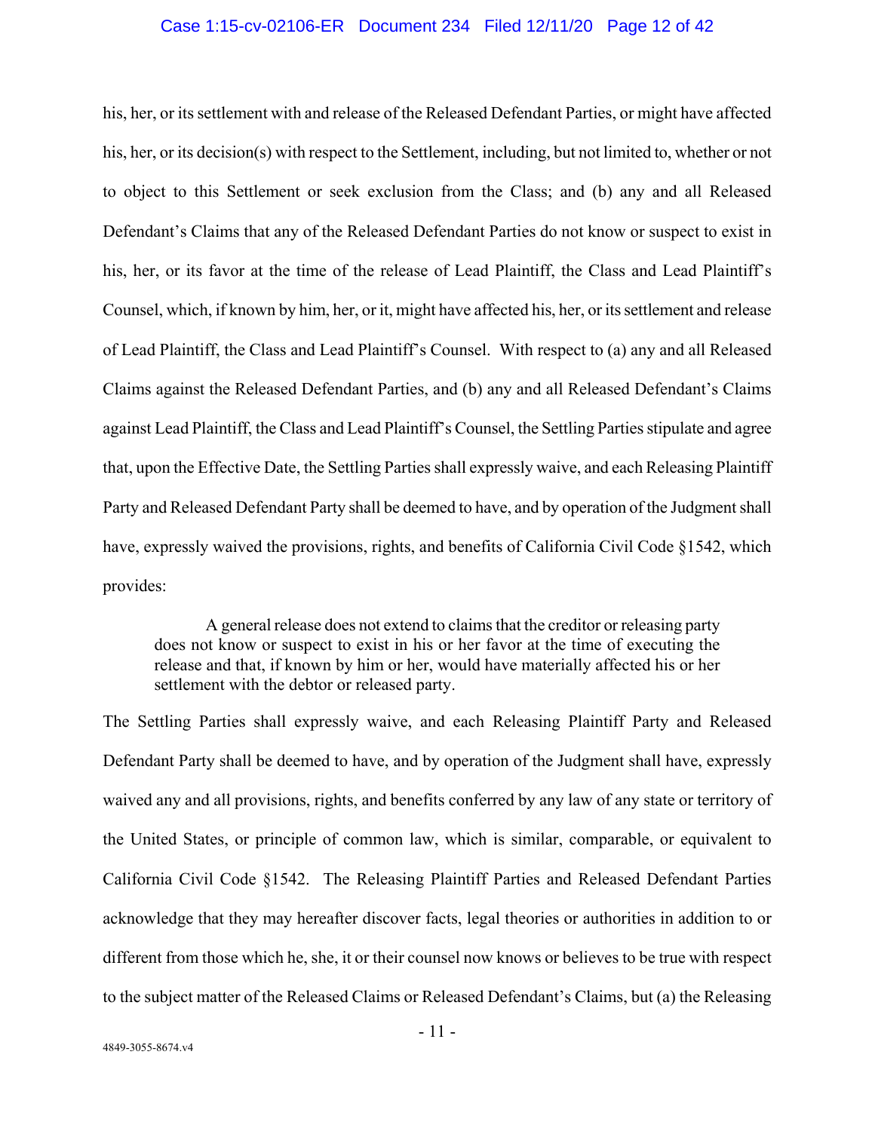### Case 1:15-cv-02106-ER Document 234 Filed 12/11/20 Page 12 of 42

his, her, or its settlement with and release of the Released Defendant Parties, or might have affected his, her, or its decision(s) with respect to the Settlement, including, but not limited to, whether or not to object to this Settlement or seek exclusion from the Class; and (b) any and all Released Defendant's Claims that any of the Released Defendant Parties do not know or suspect to exist in his, her, or its favor at the time of the release of Lead Plaintiff, the Class and Lead Plaintiff's Counsel, which, if known by him, her, or it, might have affected his, her, or its settlement and release of Lead Plaintiff, the Class and Lead Plaintiff's Counsel. With respect to (a) any and all Released Claims against the Released Defendant Parties, and (b) any and all Released Defendant's Claims against Lead Plaintiff, the Class and Lead Plaintiff's Counsel, the Settling Parties stipulate and agree that, upon the Effective Date, the Settling Parties shall expressly waive, and each Releasing Plaintiff Party and Released Defendant Party shall be deemed to have, and by operation of the Judgment shall have, expressly waived the provisions, rights, and benefits of California Civil Code §1542, which provides:

A general release does not extend to claims that the creditor or releasing party does not know or suspect to exist in his or her favor at the time of executing the release and that, if known by him or her, would have materially affected his or her settlement with the debtor or released party.

The Settling Parties shall expressly waive, and each Releasing Plaintiff Party and Released Defendant Party shall be deemed to have, and by operation of the Judgment shall have, expressly waived any and all provisions, rights, and benefits conferred by any law of any state or territory of the United States, or principle of common law, which is similar, comparable, or equivalent to California Civil Code §1542. The Releasing Plaintiff Parties and Released Defendant Parties acknowledge that they may hereafter discover facts, legal theories or authorities in addition to or different from those which he, she, it or their counsel now knows or believes to be true with respect to the subject matter of the Released Claims or Released Defendant's Claims, but (a) the Releasing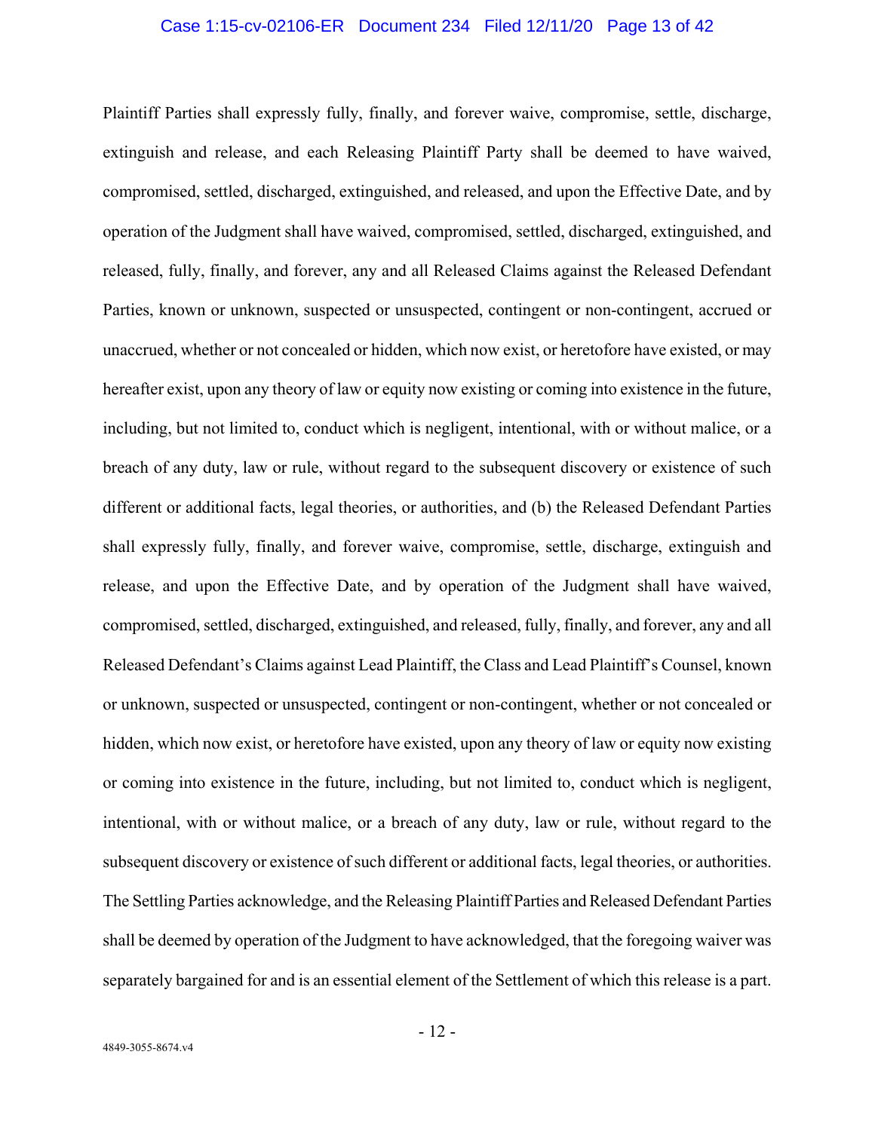### Case 1:15-cv-02106-ER Document 234 Filed 12/11/20 Page 13 of 42

Plaintiff Parties shall expressly fully, finally, and forever waive, compromise, settle, discharge, extinguish and release, and each Releasing Plaintiff Party shall be deemed to have waived, compromised, settled, discharged, extinguished, and released, and upon the Effective Date, and by operation of the Judgment shall have waived, compromised, settled, discharged, extinguished, and released, fully, finally, and forever, any and all Released Claims against the Released Defendant Parties, known or unknown, suspected or unsuspected, contingent or non-contingent, accrued or unaccrued, whether or not concealed or hidden, which now exist, or heretofore have existed, or may hereafter exist, upon any theory of law or equity now existing or coming into existence in the future, including, but not limited to, conduct which is negligent, intentional, with or without malice, or a breach of any duty, law or rule, without regard to the subsequent discovery or existence of such different or additional facts, legal theories, or authorities, and (b) the Released Defendant Parties shall expressly fully, finally, and forever waive, compromise, settle, discharge, extinguish and release, and upon the Effective Date, and by operation of the Judgment shall have waived, compromised, settled, discharged, extinguished, and released, fully, finally, and forever, any and all Released Defendant's Claims against Lead Plaintiff, the Class and Lead Plaintiff's Counsel, known or unknown, suspected or unsuspected, contingent or non-contingent, whether or not concealed or hidden, which now exist, or heretofore have existed, upon any theory of law or equity now existing or coming into existence in the future, including, but not limited to, conduct which is negligent, intentional, with or without malice, or a breach of any duty, law or rule, without regard to the subsequent discovery or existence of such different or additional facts, legal theories, or authorities. The Settling Parties acknowledge, and the Releasing Plaintiff Parties and Released Defendant Parties shall be deemed by operation of the Judgment to have acknowledged, that the foregoing waiver was separately bargained for and is an essential element of the Settlement of which this release is a part.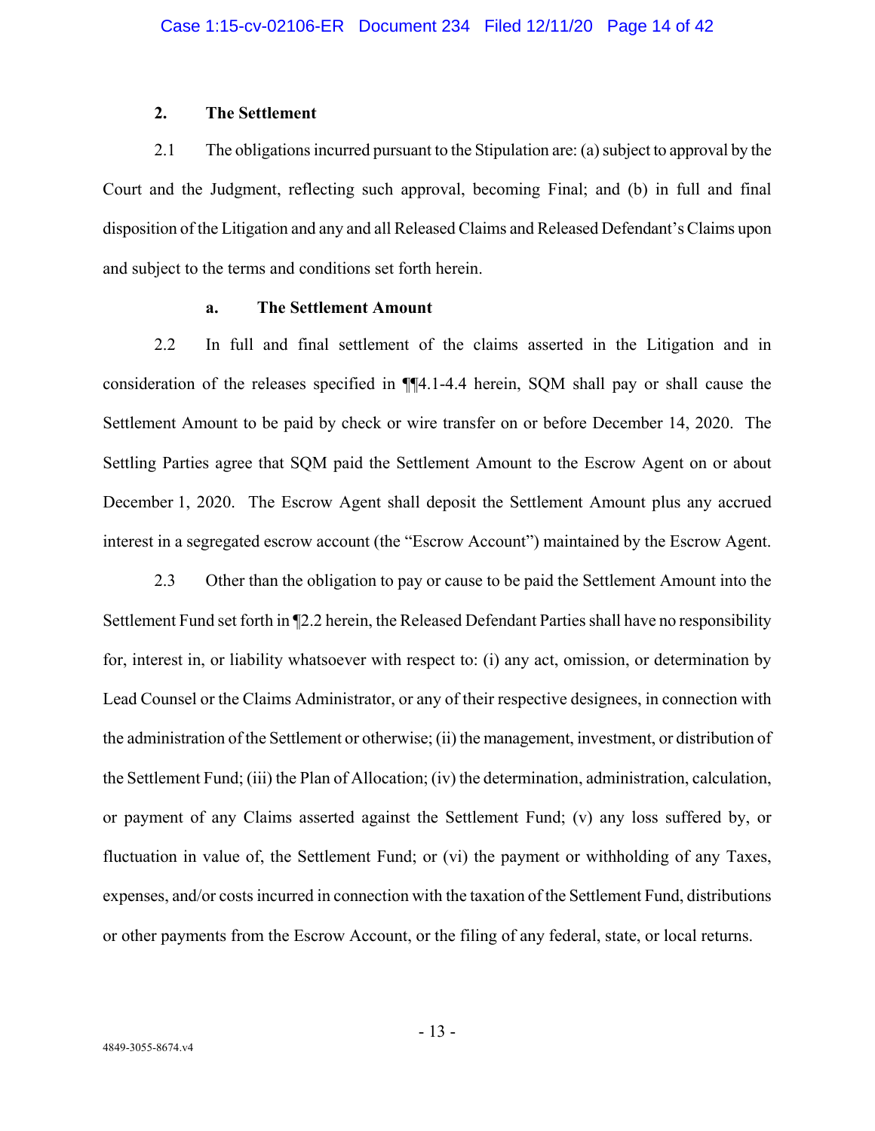### **2. The Settlement**

2.1 The obligations incurred pursuant to the Stipulation are: (a) subject to approval by the Court and the Judgment, reflecting such approval, becoming Final; and (b) in full and final disposition of the Litigation and any and all Released Claims and Released Defendant's Claims upon and subject to the terms and conditions set forth herein.

### **a. The Settlement Amount**

2.2 In full and final settlement of the claims asserted in the Litigation and in consideration of the releases specified in ¶¶4.1-4.4 herein, SQM shall pay or shall cause the Settlement Amount to be paid by check or wire transfer on or before December 14, 2020. The Settling Parties agree that SQM paid the Settlement Amount to the Escrow Agent on or about December 1, 2020. The Escrow Agent shall deposit the Settlement Amount plus any accrued interest in a segregated escrow account (the "Escrow Account") maintained by the Escrow Agent.

2.3 Other than the obligation to pay or cause to be paid the Settlement Amount into the Settlement Fund set forth in ¶2.2 herein, the Released Defendant Parties shall have no responsibility for, interest in, or liability whatsoever with respect to: (i) any act, omission, or determination by Lead Counsel or the Claims Administrator, or any of their respective designees, in connection with the administration of the Settlement or otherwise; (ii) the management, investment, or distribution of the Settlement Fund; (iii) the Plan of Allocation; (iv) the determination, administration, calculation, or payment of any Claims asserted against the Settlement Fund; (v) any loss suffered by, or fluctuation in value of, the Settlement Fund; or (vi) the payment or withholding of any Taxes, expenses, and/or costs incurred in connection with the taxation of the Settlement Fund, distributions or other payments from the Escrow Account, or the filing of any federal, state, or local returns.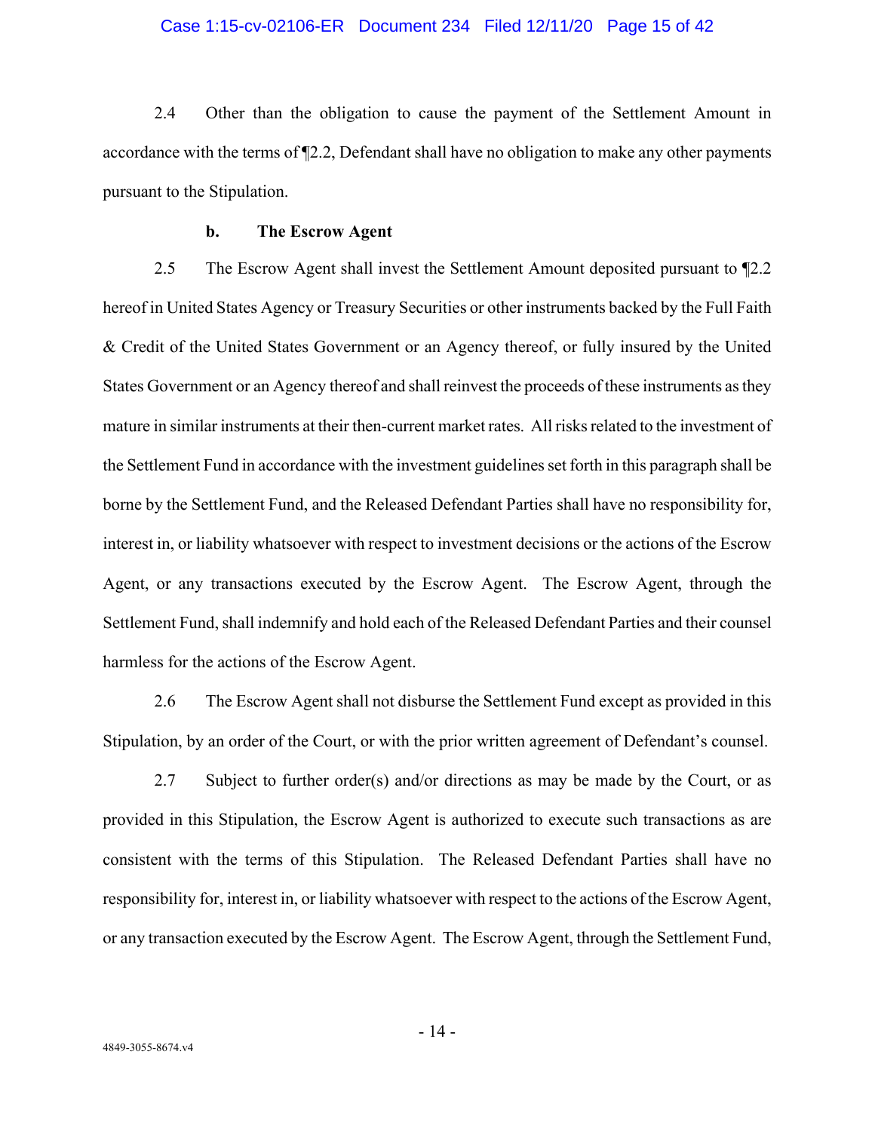### Case 1:15-cv-02106-ER Document 234 Filed 12/11/20 Page 15 of 42

2.4 Other than the obligation to cause the payment of the Settlement Amount in accordance with the terms of ¶2.2, Defendant shall have no obligation to make any other payments pursuant to the Stipulation.

### **b. The Escrow Agent**

2.5 The Escrow Agent shall invest the Settlement Amount deposited pursuant to ¶2.2 hereof in United States Agency or Treasury Securities or other instruments backed by the Full Faith & Credit of the United States Government or an Agency thereof, or fully insured by the United States Government or an Agency thereof and shall reinvest the proceeds of these instruments as they mature in similar instruments at their then-current market rates. All risks related to the investment of the Settlement Fund in accordance with the investment guidelines set forth in this paragraph shall be borne by the Settlement Fund, and the Released Defendant Parties shall have no responsibility for, interest in, or liability whatsoever with respect to investment decisions or the actions of the Escrow Agent, or any transactions executed by the Escrow Agent. The Escrow Agent, through the Settlement Fund, shall indemnify and hold each of the Released Defendant Parties and their counsel harmless for the actions of the Escrow Agent.

2.6 The Escrow Agent shall not disburse the Settlement Fund except as provided in this Stipulation, by an order of the Court, or with the prior written agreement of Defendant's counsel.

2.7 Subject to further order(s) and/or directions as may be made by the Court, or as provided in this Stipulation, the Escrow Agent is authorized to execute such transactions as are consistent with the terms of this Stipulation. The Released Defendant Parties shall have no responsibility for, interest in, or liability whatsoever with respect to the actions of the Escrow Agent, or any transaction executed by the Escrow Agent. The Escrow Agent, through the Settlement Fund,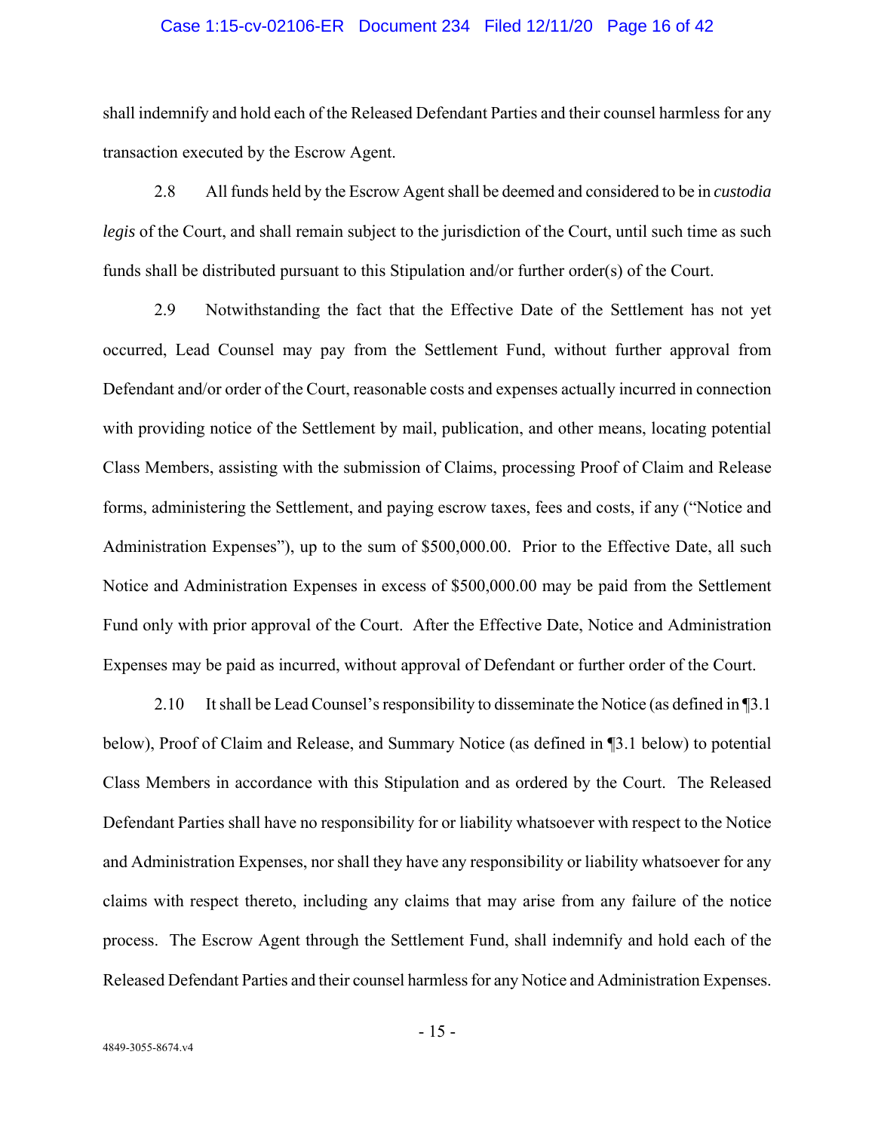### Case 1:15-cv-02106-ER Document 234 Filed 12/11/20 Page 16 of 42

shall indemnify and hold each of the Released Defendant Parties and their counsel harmless for any transaction executed by the Escrow Agent.

2.8 All funds held by the Escrow Agent shall be deemed and considered to be in *custodia legis* of the Court, and shall remain subject to the jurisdiction of the Court, until such time as such funds shall be distributed pursuant to this Stipulation and/or further order(s) of the Court.

2.9 Notwithstanding the fact that the Effective Date of the Settlement has not yet occurred, Lead Counsel may pay from the Settlement Fund, without further approval from Defendant and/or order of the Court, reasonable costs and expenses actually incurred in connection with providing notice of the Settlement by mail, publication, and other means, locating potential Class Members, assisting with the submission of Claims, processing Proof of Claim and Release forms, administering the Settlement, and paying escrow taxes, fees and costs, if any ("Notice and Administration Expenses"), up to the sum of \$500,000.00. Prior to the Effective Date, all such Notice and Administration Expenses in excess of \$500,000.00 may be paid from the Settlement Fund only with prior approval of the Court. After the Effective Date, Notice and Administration Expenses may be paid as incurred, without approval of Defendant or further order of the Court.

2.10 It shall be Lead Counsel's responsibility to disseminate the Notice (as defined in [3.1] below), Proof of Claim and Release, and Summary Notice (as defined in ¶3.1 below) to potential Class Members in accordance with this Stipulation and as ordered by the Court. The Released Defendant Parties shall have no responsibility for or liability whatsoever with respect to the Notice and Administration Expenses, nor shall they have any responsibility or liability whatsoever for any claims with respect thereto, including any claims that may arise from any failure of the notice process. The Escrow Agent through the Settlement Fund, shall indemnify and hold each of the Released Defendant Parties and their counsel harmless for any Notice and Administration Expenses.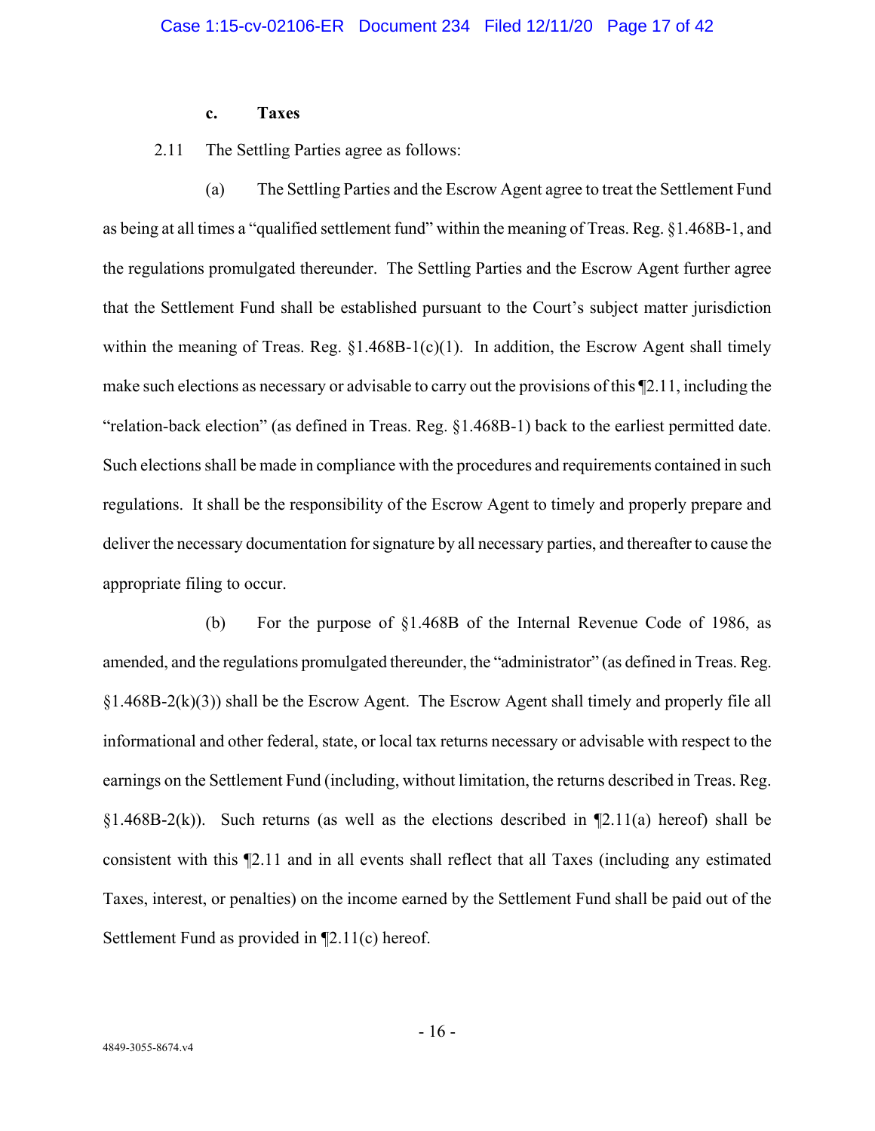### **c. Taxes**

2.11 The Settling Parties agree as follows:

(a) The Settling Parties and the Escrow Agent agree to treat the Settlement Fund as being at all times a "qualified settlement fund" within the meaning of Treas. Reg. §1.468B-1, and the regulations promulgated thereunder. The Settling Parties and the Escrow Agent further agree that the Settlement Fund shall be established pursuant to the Court's subject matter jurisdiction within the meaning of Treas. Reg.  $$1.468B-1(c)(1)$ . In addition, the Escrow Agent shall timely make such elections as necessary or advisable to carry out the provisions of this ¶2.11, including the "relation-back election" (as defined in Treas. Reg. §1.468B-1) back to the earliest permitted date. Such elections shall be made in compliance with the procedures and requirements contained in such regulations. It shall be the responsibility of the Escrow Agent to timely and properly prepare and deliver the necessary documentation for signature by all necessary parties, and thereafter to cause the appropriate filing to occur.

(b) For the purpose of §1.468B of the Internal Revenue Code of 1986, as amended, and the regulations promulgated thereunder, the "administrator" (as defined in Treas. Reg.  $\S1.468B-2(k)(3)$ ) shall be the Escrow Agent. The Escrow Agent shall timely and properly file all informational and other federal, state, or local tax returns necessary or advisable with respect to the earnings on the Settlement Fund (including, without limitation, the returns described in Treas. Reg. §1.468B-2(k)). Such returns (as well as the elections described in  $\P$ 2.11(a) hereof) shall be consistent with this ¶2.11 and in all events shall reflect that all Taxes (including any estimated Taxes, interest, or penalties) on the income earned by the Settlement Fund shall be paid out of the Settlement Fund as provided in ¶2.11(c) hereof.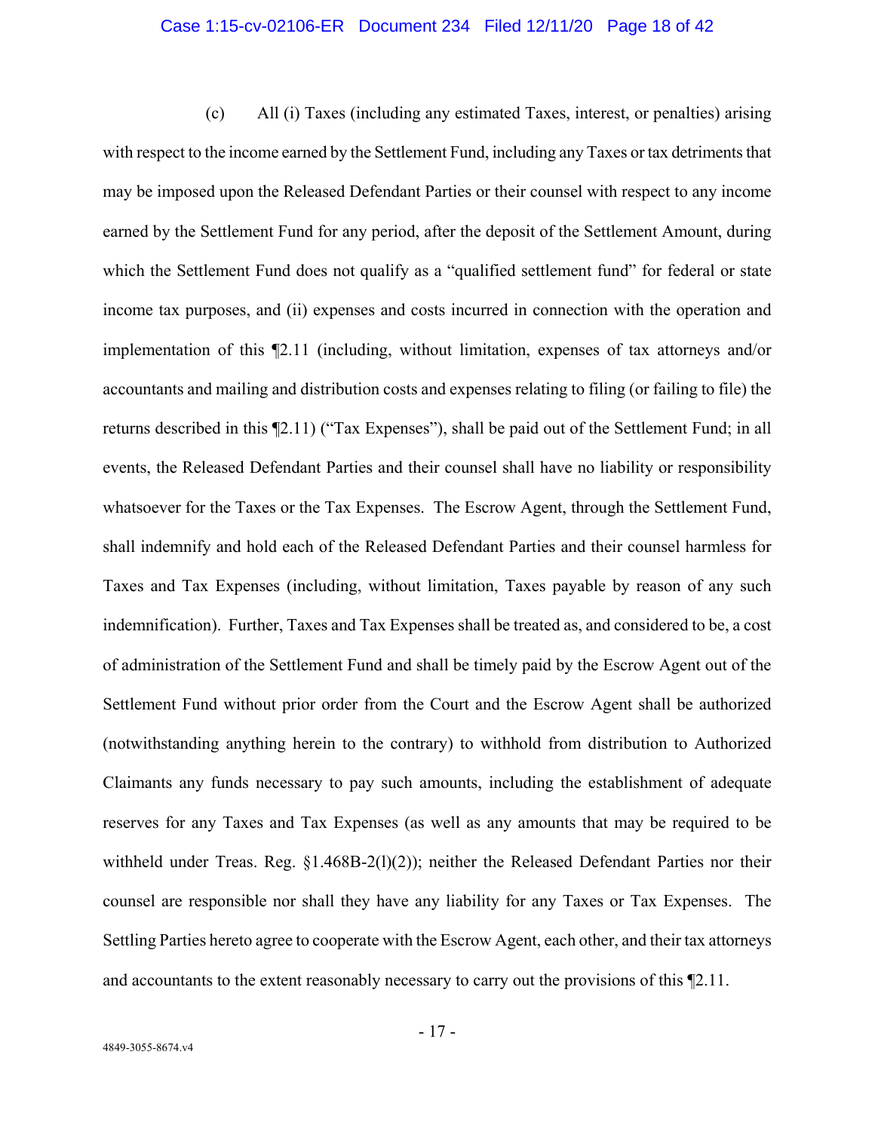### Case 1:15-cv-02106-ER Document 234 Filed 12/11/20 Page 18 of 42

(c) All (i) Taxes (including any estimated Taxes, interest, or penalties) arising with respect to the income earned by the Settlement Fund, including any Taxes or tax detriments that may be imposed upon the Released Defendant Parties or their counsel with respect to any income earned by the Settlement Fund for any period, after the deposit of the Settlement Amount, during which the Settlement Fund does not qualify as a "qualified settlement fund" for federal or state income tax purposes, and (ii) expenses and costs incurred in connection with the operation and implementation of this ¶2.11 (including, without limitation, expenses of tax attorneys and/or accountants and mailing and distribution costs and expenses relating to filing (or failing to file) the returns described in this ¶2.11) ("Tax Expenses"), shall be paid out of the Settlement Fund; in all events, the Released Defendant Parties and their counsel shall have no liability or responsibility whatsoever for the Taxes or the Tax Expenses. The Escrow Agent, through the Settlement Fund, shall indemnify and hold each of the Released Defendant Parties and their counsel harmless for Taxes and Tax Expenses (including, without limitation, Taxes payable by reason of any such indemnification). Further, Taxes and Tax Expenses shall be treated as, and considered to be, a cost of administration of the Settlement Fund and shall be timely paid by the Escrow Agent out of the Settlement Fund without prior order from the Court and the Escrow Agent shall be authorized (notwithstanding anything herein to the contrary) to withhold from distribution to Authorized Claimants any funds necessary to pay such amounts, including the establishment of adequate reserves for any Taxes and Tax Expenses (as well as any amounts that may be required to be withheld under Treas. Reg. §1.468B-2(1)(2)); neither the Released Defendant Parties nor their counsel are responsible nor shall they have any liability for any Taxes or Tax Expenses. The Settling Parties hereto agree to cooperate with the Escrow Agent, each other, and their tax attorneys and accountants to the extent reasonably necessary to carry out the provisions of this ¶2.11.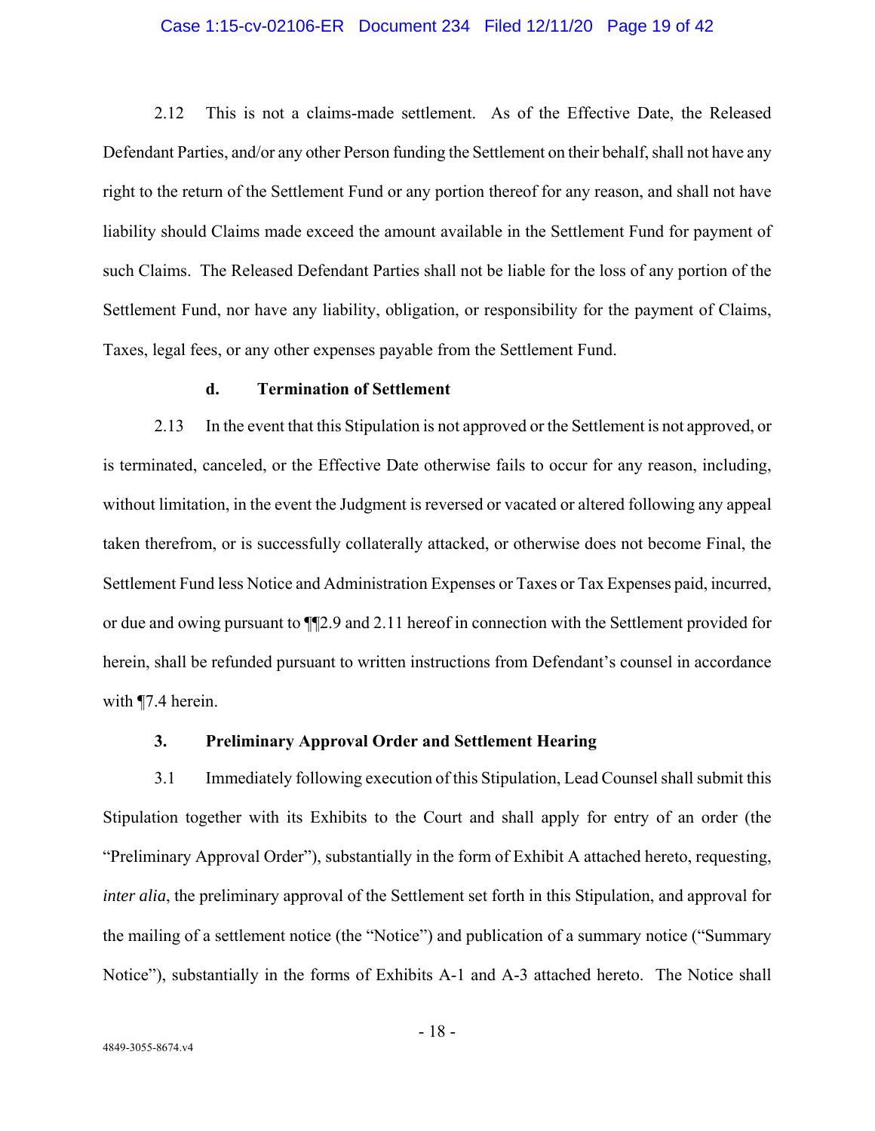### Case 1:15-cv-02106-ER Document 234 Filed 12/11/20 Page 19 of 42

2.12 This is not a claims-made settlement. As of the Effective Date, the Released Defendant Parties, and/or any other Person funding the Settlement on their behalf, shall not have any right to the return of the Settlement Fund or any portion thereof for any reason, and shall not have liability should Claims made exceed the amount available in the Settlement Fund for payment of such Claims. The Released Defendant Parties shall not be liable for the loss of any portion of the Settlement Fund, nor have any liability, obligation, or responsibility for the payment of Claims, Taxes, legal fees, or any other expenses payable from the Settlement Fund.

#### **d. Termination of Settlement**

2.13 In the event that this Stipulation is not approved or the Settlement is not approved, or is terminated, canceled, or the Effective Date otherwise fails to occur for any reason, including, without limitation, in the event the Judgment is reversed or vacated or altered following any appeal taken therefrom, or is successfully collaterally attacked, or otherwise does not become Final, the Settlement Fund less Notice and Administration Expenses or Taxes or Tax Expenses paid, incurred, or due and owing pursuant to ¶¶2.9 and 2.11 hereof in connection with the Settlement provided for herein, shall be refunded pursuant to written instructions from Defendant's counsel in accordance with ¶7.4 herein.

### **3. Preliminary Approval Order and Settlement Hearing**

3.1 Immediately following execution of this Stipulation, Lead Counsel shall submit this Stipulation together with its Exhibits to the Court and shall apply for entry of an order (the "Preliminary Approval Order"), substantially in the form of Exhibit A attached hereto, requesting, *inter alia*, the preliminary approval of the Settlement set forth in this Stipulation, and approval for the mailing of a settlement notice (the "Notice") and publication of a summary notice ("Summary Notice"), substantially in the forms of Exhibits A-1 and A-3 attached hereto. The Notice shall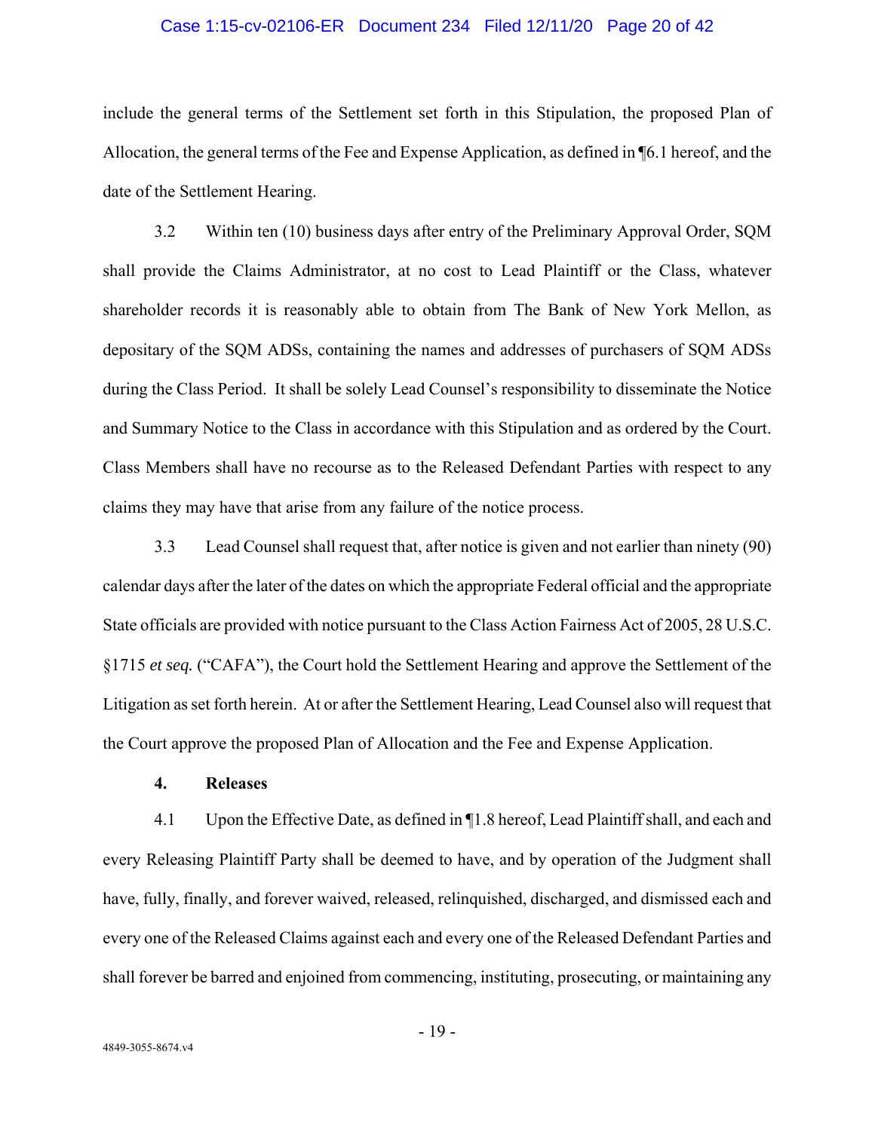### Case 1:15-cv-02106-ER Document 234 Filed 12/11/20 Page 20 of 42

include the general terms of the Settlement set forth in this Stipulation, the proposed Plan of Allocation, the general terms of the Fee and Expense Application, as defined in ¶6.1 hereof, and the date of the Settlement Hearing.

3.2 Within ten (10) business days after entry of the Preliminary Approval Order, SQM shall provide the Claims Administrator, at no cost to Lead Plaintiff or the Class, whatever shareholder records it is reasonably able to obtain from The Bank of New York Mellon, as depositary of the SQM ADSs, containing the names and addresses of purchasers of SQM ADSs during the Class Period. It shall be solely Lead Counsel's responsibility to disseminate the Notice and Summary Notice to the Class in accordance with this Stipulation and as ordered by the Court. Class Members shall have no recourse as to the Released Defendant Parties with respect to any claims they may have that arise from any failure of the notice process.

3.3 Lead Counsel shall request that, after notice is given and not earlier than ninety (90) calendar days after the later of the dates on which the appropriate Federal official and the appropriate State officials are provided with notice pursuant to the Class Action Fairness Act of 2005, 28 U.S.C. §1715 *et seq.* ("CAFA"), the Court hold the Settlement Hearing and approve the Settlement of the Litigation as set forth herein. At or after the Settlement Hearing, Lead Counsel also will request that the Court approve the proposed Plan of Allocation and the Fee and Expense Application.

### **4. Releases**

4.1 Upon the Effective Date, as defined in ¶1.8 hereof, Lead Plaintiff shall, and each and every Releasing Plaintiff Party shall be deemed to have, and by operation of the Judgment shall have, fully, finally, and forever waived, released, relinquished, discharged, and dismissed each and every one of the Released Claims against each and every one of the Released Defendant Parties and shall forever be barred and enjoined from commencing, instituting, prosecuting, or maintaining any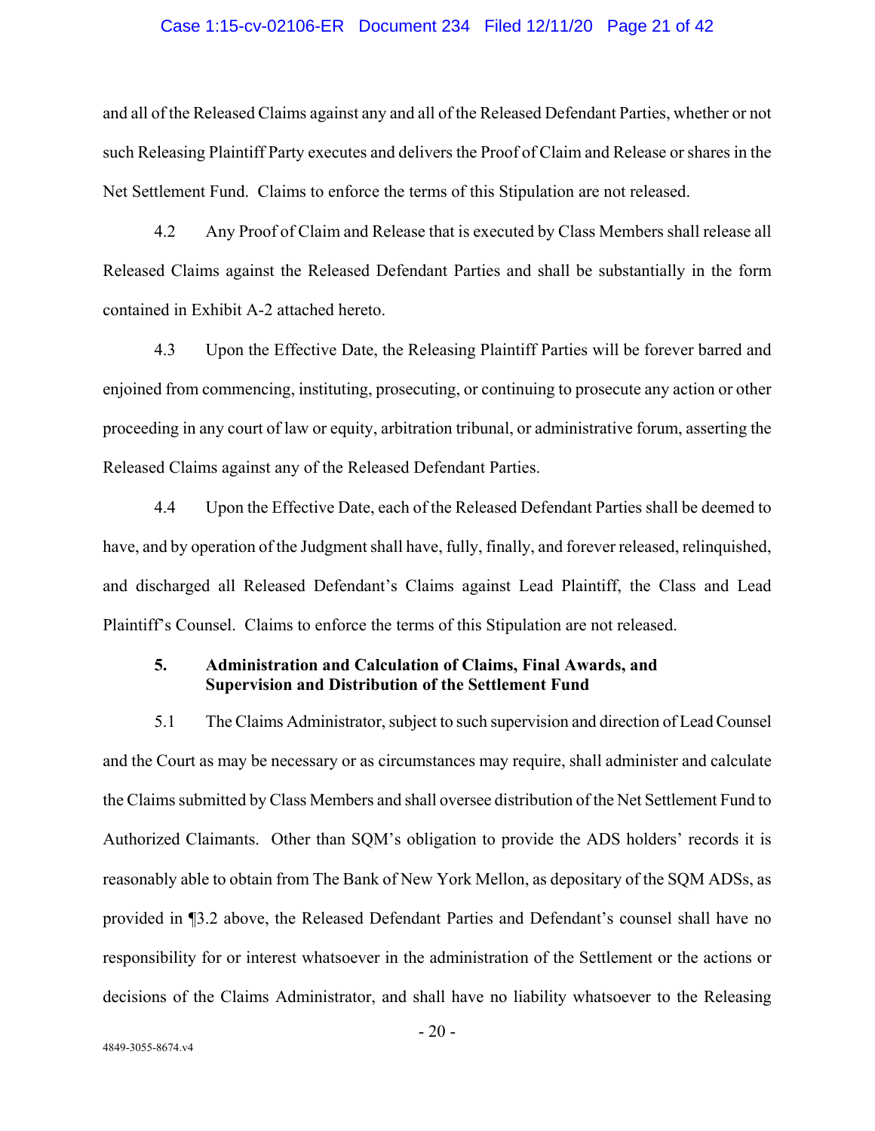#### Case 1:15-cv-02106-ER Document 234 Filed 12/11/20 Page 21 of 42

and all of the Released Claims against any and all of the Released Defendant Parties, whether or not such Releasing Plaintiff Party executes and delivers the Proof of Claim and Release or shares in the Net Settlement Fund. Claims to enforce the terms of this Stipulation are not released.

4.2 Any Proof of Claim and Release that is executed by Class Members shall release all Released Claims against the Released Defendant Parties and shall be substantially in the form contained in Exhibit A-2 attached hereto.

4.3 Upon the Effective Date, the Releasing Plaintiff Parties will be forever barred and enjoined from commencing, instituting, prosecuting, or continuing to prosecute any action or other proceeding in any court of law or equity, arbitration tribunal, or administrative forum, asserting the Released Claims against any of the Released Defendant Parties.

4.4 Upon the Effective Date, each of the Released Defendant Parties shall be deemed to have, and by operation of the Judgment shall have, fully, finally, and forever released, relinquished, and discharged all Released Defendant's Claims against Lead Plaintiff, the Class and Lead Plaintiff's Counsel. Claims to enforce the terms of this Stipulation are not released.

### **5. Administration and Calculation of Claims, Final Awards, and Supervision and Distribution of the Settlement Fund**

5.1 The Claims Administrator, subject to such supervision and direction of Lead Counsel and the Court as may be necessary or as circumstances may require, shall administer and calculate the Claims submitted by Class Members and shall oversee distribution of the Net Settlement Fund to Authorized Claimants. Other than SQM's obligation to provide the ADS holders' records it is reasonably able to obtain from The Bank of New York Mellon, as depositary of the SQM ADSs, as provided in ¶3.2 above, the Released Defendant Parties and Defendant's counsel shall have no responsibility for or interest whatsoever in the administration of the Settlement or the actions or decisions of the Claims Administrator, and shall have no liability whatsoever to the Releasing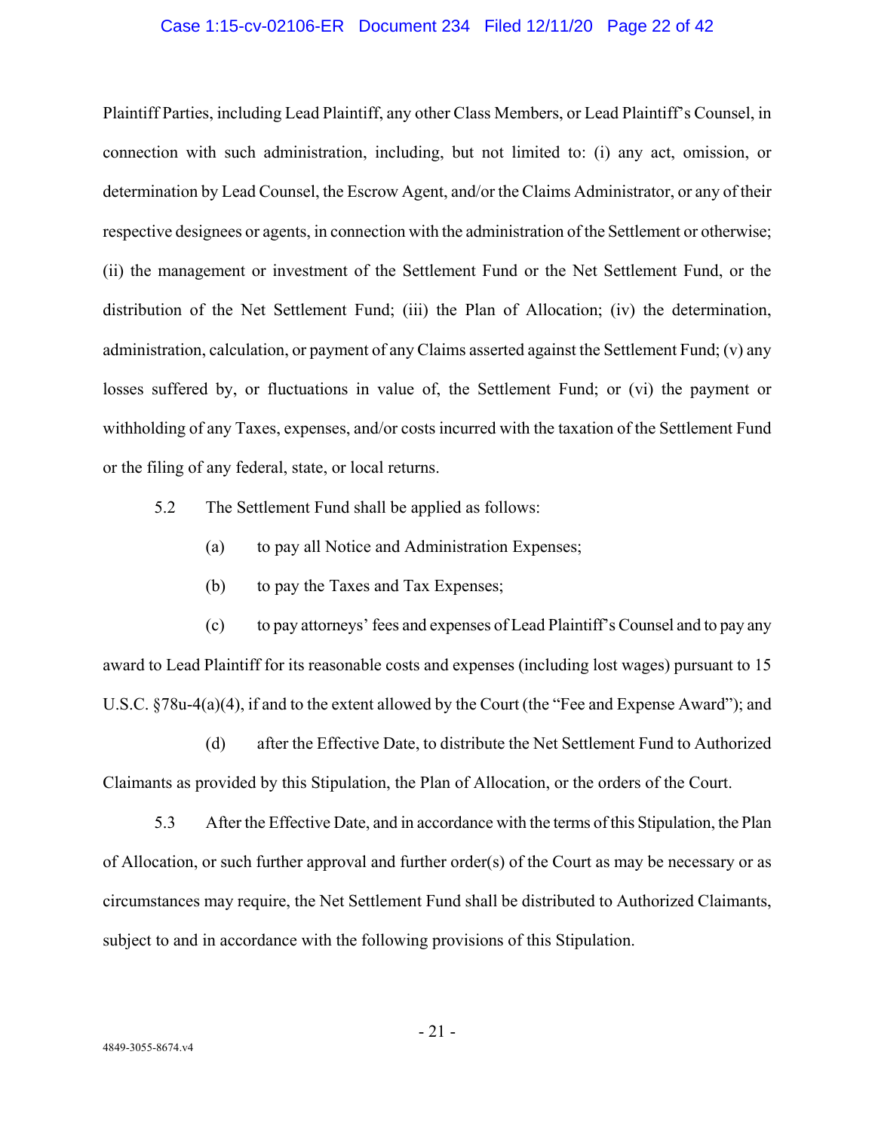### Case 1:15-cv-02106-ER Document 234 Filed 12/11/20 Page 22 of 42

Plaintiff Parties, including Lead Plaintiff, any other Class Members, or Lead Plaintiff's Counsel, in connection with such administration, including, but not limited to: (i) any act, omission, or determination by Lead Counsel, the Escrow Agent, and/or the Claims Administrator, or any of their respective designees or agents, in connection with the administration of the Settlement or otherwise; (ii) the management or investment of the Settlement Fund or the Net Settlement Fund, or the distribution of the Net Settlement Fund; (iii) the Plan of Allocation; (iv) the determination, administration, calculation, or payment of any Claims asserted against the Settlement Fund; (v) any losses suffered by, or fluctuations in value of, the Settlement Fund; or (vi) the payment or withholding of any Taxes, expenses, and/or costs incurred with the taxation of the Settlement Fund or the filing of any federal, state, or local returns.

- 5.2 The Settlement Fund shall be applied as follows:
	- (a) to pay all Notice and Administration Expenses;
	- (b) to pay the Taxes and Tax Expenses;

(c) to pay attorneys' fees and expenses of Lead Plaintiff's Counsel and to pay any award to Lead Plaintiff for its reasonable costs and expenses (including lost wages) pursuant to 15 U.S.C. §78u-4(a)(4), if and to the extent allowed by the Court (the "Fee and Expense Award"); and

(d) after the Effective Date, to distribute the Net Settlement Fund to Authorized Claimants as provided by this Stipulation, the Plan of Allocation, or the orders of the Court.

5.3 After the Effective Date, and in accordance with the terms of this Stipulation, the Plan of Allocation, or such further approval and further order(s) of the Court as may be necessary or as circumstances may require, the Net Settlement Fund shall be distributed to Authorized Claimants, subject to and in accordance with the following provisions of this Stipulation.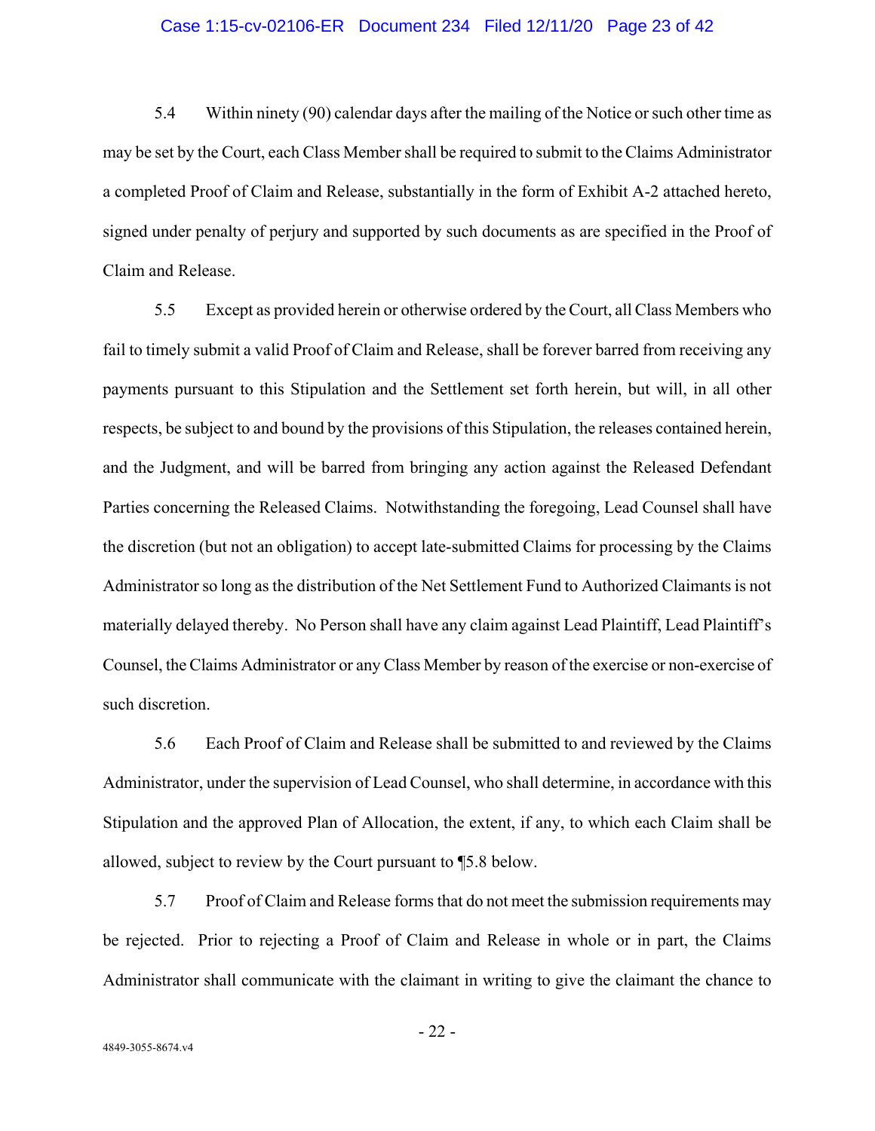### Case 1:15-cv-02106-ER Document 234 Filed 12/11/20 Page 23 of 42

5.4 Within ninety (90) calendar days after the mailing of the Notice or such other time as may be set by the Court, each Class Member shall be required to submit to the Claims Administrator a completed Proof of Claim and Release, substantially in the form of Exhibit A-2 attached hereto, signed under penalty of perjury and supported by such documents as are specified in the Proof of Claim and Release.

5.5 Except as provided herein or otherwise ordered by the Court, all Class Members who fail to timely submit a valid Proof of Claim and Release, shall be forever barred from receiving any payments pursuant to this Stipulation and the Settlement set forth herein, but will, in all other respects, be subject to and bound by the provisions of this Stipulation, the releases contained herein, and the Judgment, and will be barred from bringing any action against the Released Defendant Parties concerning the Released Claims. Notwithstanding the foregoing, Lead Counsel shall have the discretion (but not an obligation) to accept late-submitted Claims for processing by the Claims Administrator so long as the distribution of the Net Settlement Fund to Authorized Claimants is not materially delayed thereby. No Person shall have any claim against Lead Plaintiff, Lead Plaintiff's Counsel, the Claims Administrator or any Class Member by reason of the exercise or non-exercise of such discretion.

5.6 Each Proof of Claim and Release shall be submitted to and reviewed by the Claims Administrator, under the supervision of Lead Counsel, who shall determine, in accordance with this Stipulation and the approved Plan of Allocation, the extent, if any, to which each Claim shall be allowed, subject to review by the Court pursuant to ¶5.8 below.

5.7 Proof of Claim and Release forms that do not meet the submission requirements may be rejected. Prior to rejecting a Proof of Claim and Release in whole or in part, the Claims Administrator shall communicate with the claimant in writing to give the claimant the chance to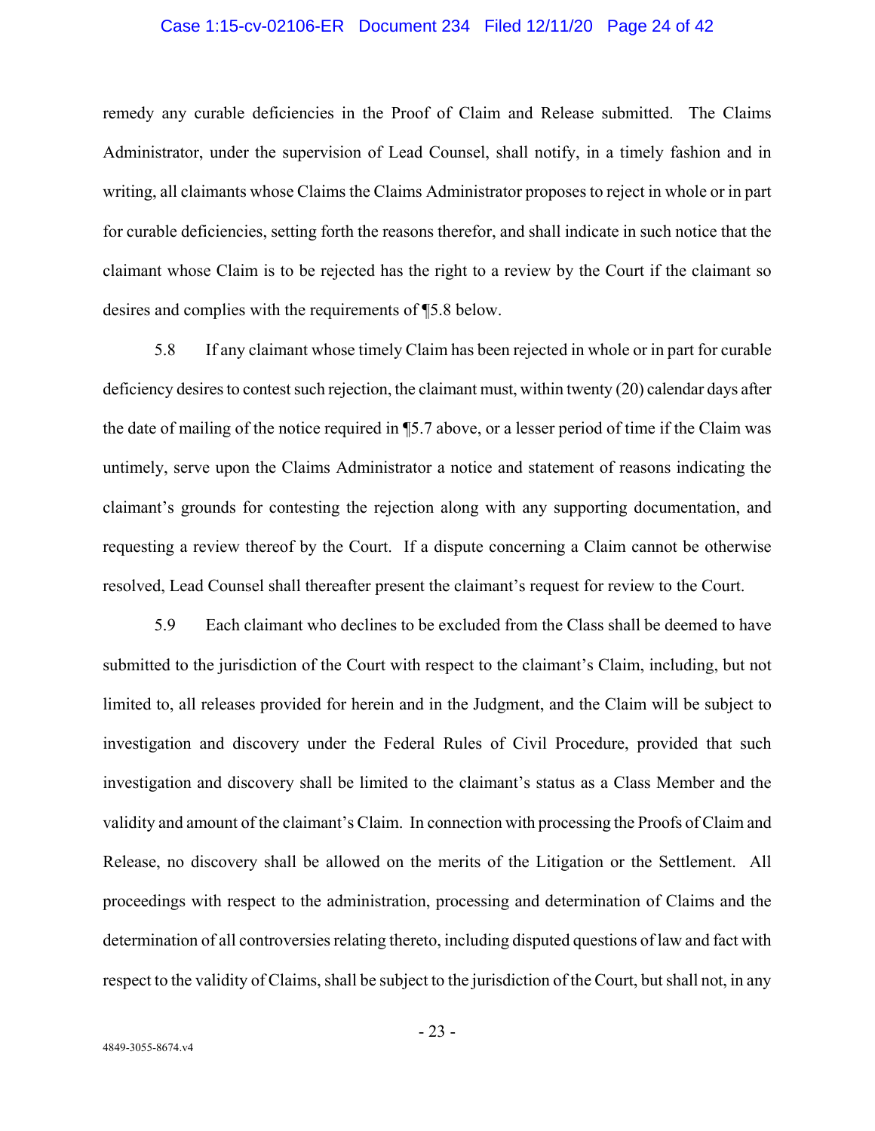### Case 1:15-cv-02106-ER Document 234 Filed 12/11/20 Page 24 of 42

remedy any curable deficiencies in the Proof of Claim and Release submitted. The Claims Administrator, under the supervision of Lead Counsel, shall notify, in a timely fashion and in writing, all claimants whose Claims the Claims Administrator proposes to reject in whole or in part for curable deficiencies, setting forth the reasons therefor, and shall indicate in such notice that the claimant whose Claim is to be rejected has the right to a review by the Court if the claimant so desires and complies with the requirements of ¶5.8 below.

5.8 If any claimant whose timely Claim has been rejected in whole or in part for curable deficiency desires to contest such rejection, the claimant must, within twenty (20) calendar days after the date of mailing of the notice required in ¶5.7 above, or a lesser period of time if the Claim was untimely, serve upon the Claims Administrator a notice and statement of reasons indicating the claimant's grounds for contesting the rejection along with any supporting documentation, and requesting a review thereof by the Court. If a dispute concerning a Claim cannot be otherwise resolved, Lead Counsel shall thereafter present the claimant's request for review to the Court.

5.9 Each claimant who declines to be excluded from the Class shall be deemed to have submitted to the jurisdiction of the Court with respect to the claimant's Claim, including, but not limited to, all releases provided for herein and in the Judgment, and the Claim will be subject to investigation and discovery under the Federal Rules of Civil Procedure, provided that such investigation and discovery shall be limited to the claimant's status as a Class Member and the validity and amount of the claimant's Claim. In connection with processing the Proofs of Claim and Release, no discovery shall be allowed on the merits of the Litigation or the Settlement. All proceedings with respect to the administration, processing and determination of Claims and the determination of all controversies relating thereto, including disputed questions of law and fact with respect to the validity of Claims, shall be subject to the jurisdiction of the Court, but shall not, in any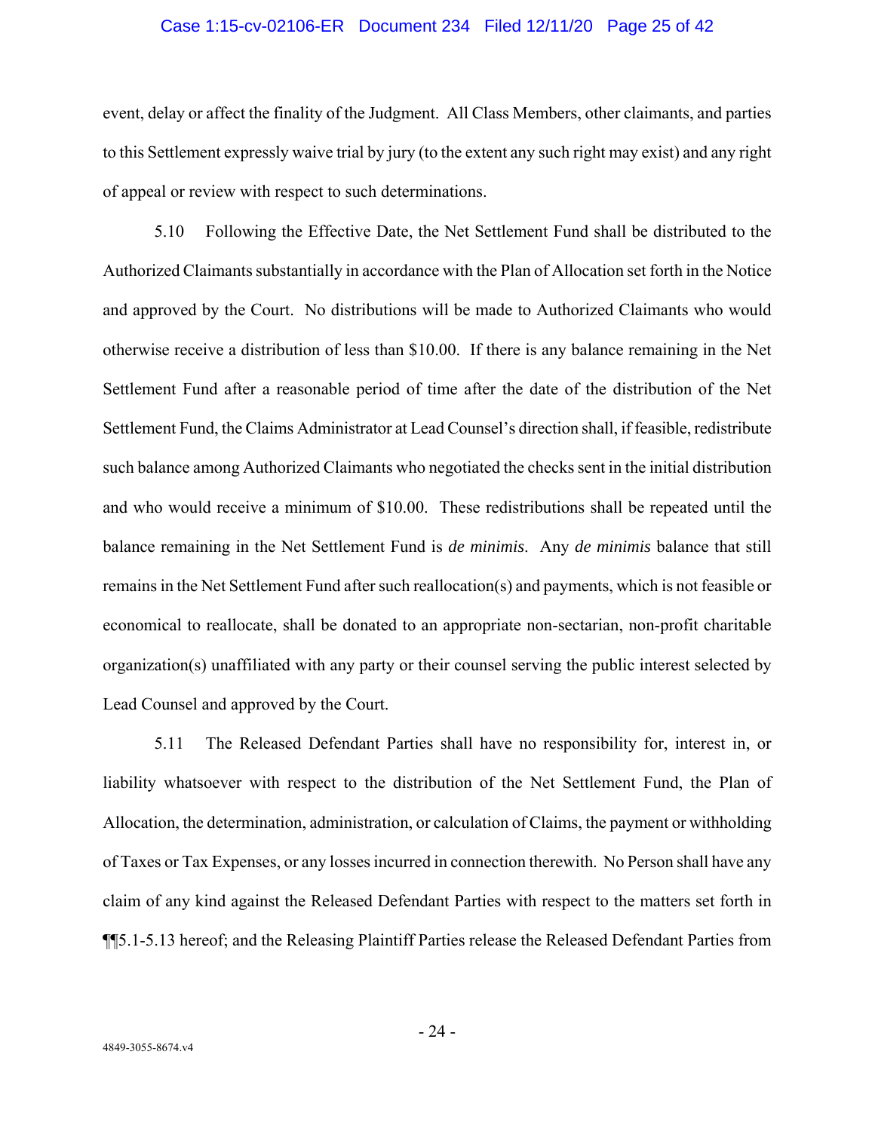### Case 1:15-cv-02106-ER Document 234 Filed 12/11/20 Page 25 of 42

event, delay or affect the finality of the Judgment. All Class Members, other claimants, and parties to this Settlement expressly waive trial by jury (to the extent any such right may exist) and any right of appeal or review with respect to such determinations.

5.10 Following the Effective Date, the Net Settlement Fund shall be distributed to the Authorized Claimants substantially in accordance with the Plan of Allocation set forth in the Notice and approved by the Court. No distributions will be made to Authorized Claimants who would otherwise receive a distribution of less than \$10.00. If there is any balance remaining in the Net Settlement Fund after a reasonable period of time after the date of the distribution of the Net Settlement Fund, the Claims Administrator at Lead Counsel's direction shall, if feasible, redistribute such balance among Authorized Claimants who negotiated the checks sent in the initial distribution and who would receive a minimum of \$10.00. These redistributions shall be repeated until the balance remaining in the Net Settlement Fund is *de minimis*. Any *de minimis* balance that still remains in the Net Settlement Fund after such reallocation(s) and payments, which is not feasible or economical to reallocate, shall be donated to an appropriate non-sectarian, non-profit charitable organization(s) unaffiliated with any party or their counsel serving the public interest selected by Lead Counsel and approved by the Court.

5.11 The Released Defendant Parties shall have no responsibility for, interest in, or liability whatsoever with respect to the distribution of the Net Settlement Fund, the Plan of Allocation, the determination, administration, or calculation of Claims, the payment or withholding of Taxes or Tax Expenses, or any losses incurred in connection therewith. No Person shall have any claim of any kind against the Released Defendant Parties with respect to the matters set forth in ¶¶5.1-5.13 hereof; and the Releasing Plaintiff Parties release the Released Defendant Parties from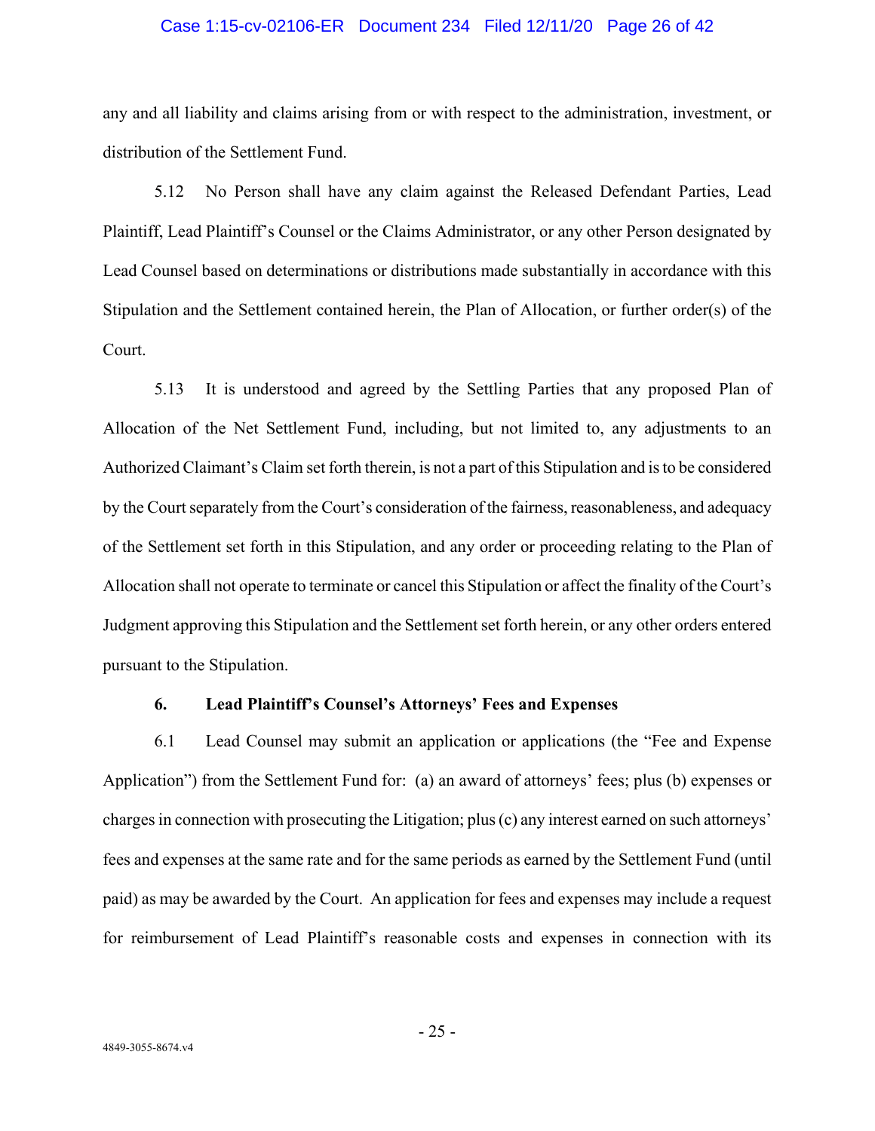### Case 1:15-cv-02106-ER Document 234 Filed 12/11/20 Page 26 of 42

any and all liability and claims arising from or with respect to the administration, investment, or distribution of the Settlement Fund.

5.12 No Person shall have any claim against the Released Defendant Parties, Lead Plaintiff, Lead Plaintiff's Counsel or the Claims Administrator, or any other Person designated by Lead Counsel based on determinations or distributions made substantially in accordance with this Stipulation and the Settlement contained herein, the Plan of Allocation, or further order(s) of the Court.

5.13 It is understood and agreed by the Settling Parties that any proposed Plan of Allocation of the Net Settlement Fund, including, but not limited to, any adjustments to an Authorized Claimant's Claim set forth therein, is not a part of this Stipulation and is to be considered by the Court separately from the Court's consideration of the fairness, reasonableness, and adequacy of the Settlement set forth in this Stipulation, and any order or proceeding relating to the Plan of Allocation shall not operate to terminate or cancel this Stipulation or affect the finality of the Court's Judgment approving this Stipulation and the Settlement set forth herein, or any other orders entered pursuant to the Stipulation.

### **6. Lead Plaintiff's Counsel's Attorneys' Fees and Expenses**

6.1 Lead Counsel may submit an application or applications (the "Fee and Expense Application") from the Settlement Fund for: (a) an award of attorneys' fees; plus (b) expenses or charges in connection with prosecuting the Litigation; plus (c) any interest earned on such attorneys' fees and expenses at the same rate and for the same periods as earned by the Settlement Fund (until paid) as may be awarded by the Court. An application for fees and expenses may include a request for reimbursement of Lead Plaintiff's reasonable costs and expenses in connection with its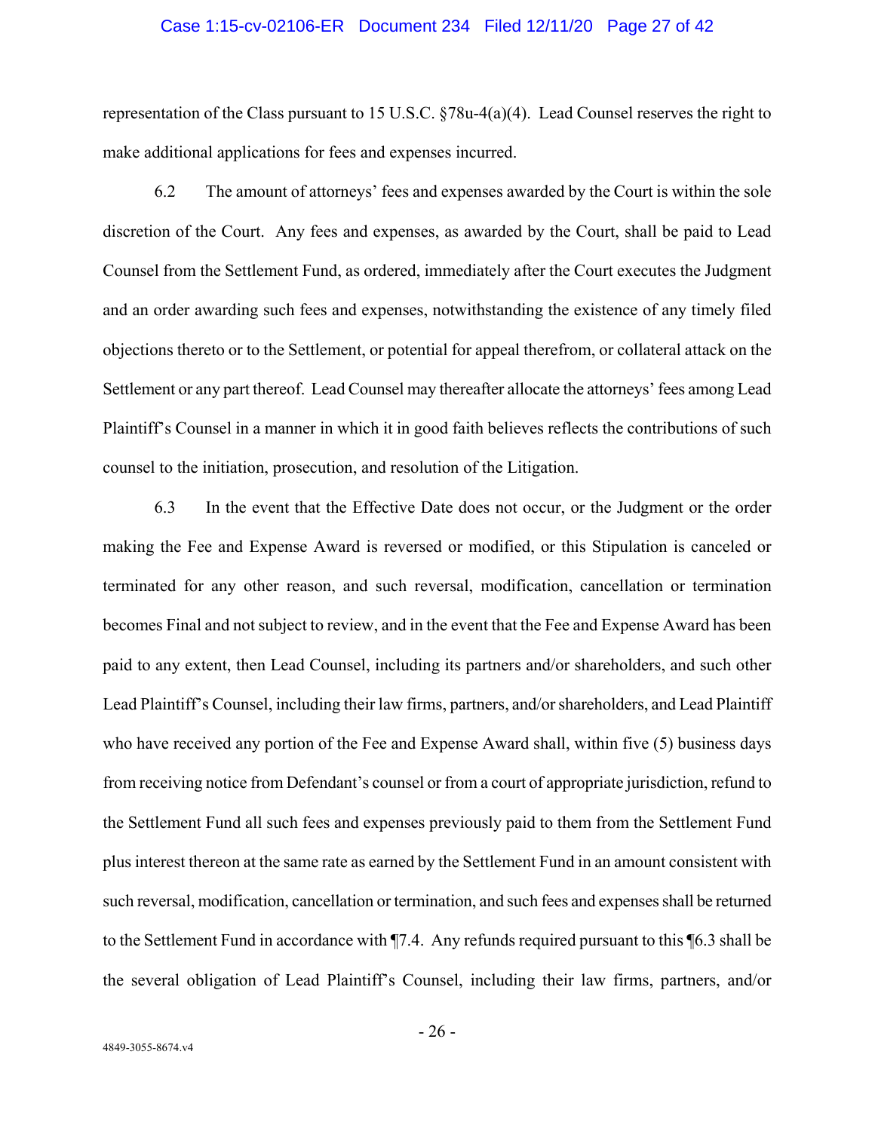#### Case 1:15-cv-02106-ER Document 234 Filed 12/11/20 Page 27 of 42

representation of the Class pursuant to 15 U.S.C. §78u-4(a)(4). Lead Counsel reserves the right to make additional applications for fees and expenses incurred.

6.2 The amount of attorneys' fees and expenses awarded by the Court is within the sole discretion of the Court. Any fees and expenses, as awarded by the Court, shall be paid to Lead Counsel from the Settlement Fund, as ordered, immediately after the Court executes the Judgment and an order awarding such fees and expenses, notwithstanding the existence of any timely filed objections thereto or to the Settlement, or potential for appeal therefrom, or collateral attack on the Settlement or any part thereof. Lead Counsel may thereafter allocate the attorneys' fees among Lead Plaintiff's Counsel in a manner in which it in good faith believes reflects the contributions of such counsel to the initiation, prosecution, and resolution of the Litigation.

6.3 In the event that the Effective Date does not occur, or the Judgment or the order making the Fee and Expense Award is reversed or modified, or this Stipulation is canceled or terminated for any other reason, and such reversal, modification, cancellation or termination becomes Final and not subject to review, and in the event that the Fee and Expense Award has been paid to any extent, then Lead Counsel, including its partners and/or shareholders, and such other Lead Plaintiff's Counsel, including their law firms, partners, and/or shareholders, and Lead Plaintiff who have received any portion of the Fee and Expense Award shall, within five (5) business days from receiving notice from Defendant's counsel or from a court of appropriate jurisdiction, refund to the Settlement Fund all such fees and expenses previously paid to them from the Settlement Fund plus interest thereon at the same rate as earned by the Settlement Fund in an amount consistent with such reversal, modification, cancellation or termination, and such fees and expenses shall be returned to the Settlement Fund in accordance with ¶7.4. Any refunds required pursuant to this ¶6.3 shall be the several obligation of Lead Plaintiff's Counsel, including their law firms, partners, and/or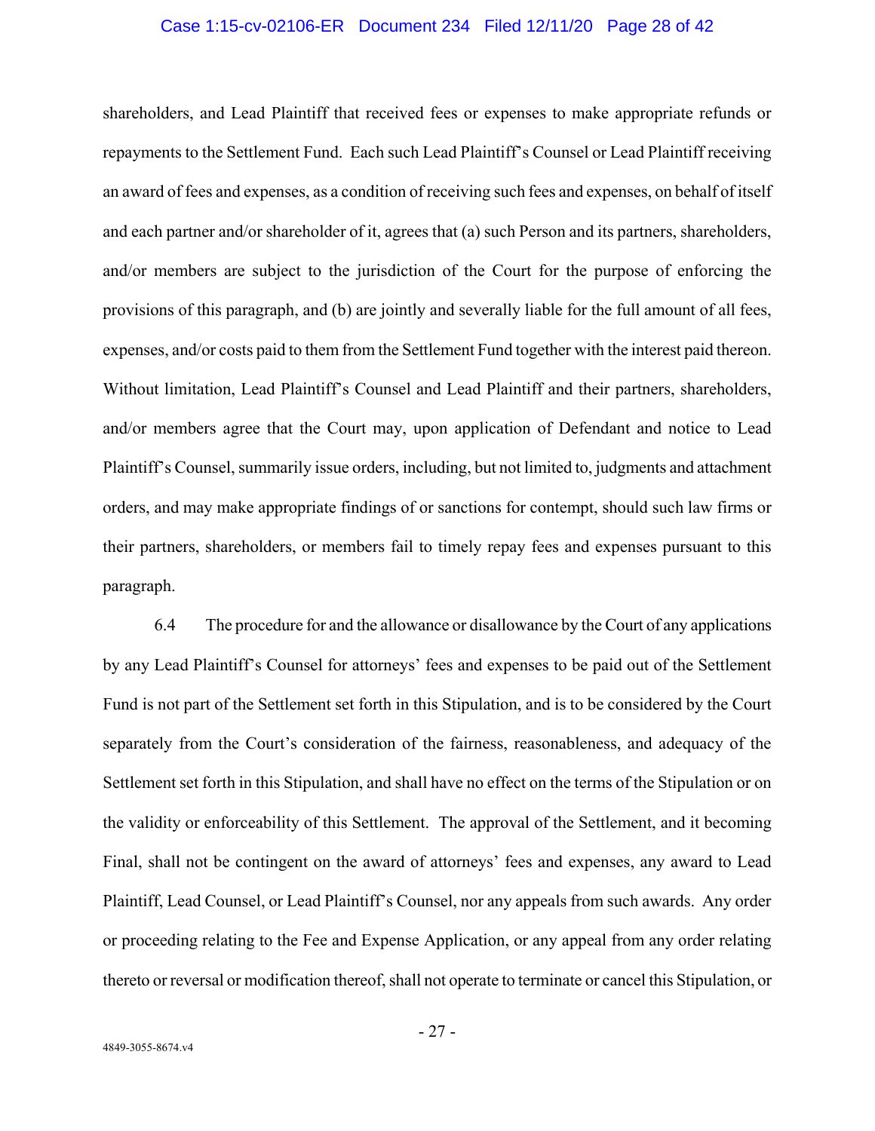### Case 1:15-cv-02106-ER Document 234 Filed 12/11/20 Page 28 of 42

shareholders, and Lead Plaintiff that received fees or expenses to make appropriate refunds or repayments to the Settlement Fund. Each such Lead Plaintiff's Counsel or Lead Plaintiff receiving an award of fees and expenses, as a condition of receiving such fees and expenses, on behalf of itself and each partner and/or shareholder of it, agrees that (a) such Person and its partners, shareholders, and/or members are subject to the jurisdiction of the Court for the purpose of enforcing the provisions of this paragraph, and (b) are jointly and severally liable for the full amount of all fees, expenses, and/or costs paid to them from the Settlement Fund together with the interest paid thereon. Without limitation, Lead Plaintiff's Counsel and Lead Plaintiff and their partners, shareholders, and/or members agree that the Court may, upon application of Defendant and notice to Lead Plaintiff's Counsel, summarily issue orders, including, but not limited to, judgments and attachment orders, and may make appropriate findings of or sanctions for contempt, should such law firms or their partners, shareholders, or members fail to timely repay fees and expenses pursuant to this paragraph.

6.4 The procedure for and the allowance or disallowance by the Court of any applications by any Lead Plaintiff's Counsel for attorneys' fees and expenses to be paid out of the Settlement Fund is not part of the Settlement set forth in this Stipulation, and is to be considered by the Court separately from the Court's consideration of the fairness, reasonableness, and adequacy of the Settlement set forth in this Stipulation, and shall have no effect on the terms of the Stipulation or on the validity or enforceability of this Settlement. The approval of the Settlement, and it becoming Final, shall not be contingent on the award of attorneys' fees and expenses, any award to Lead Plaintiff, Lead Counsel, or Lead Plaintiff's Counsel, nor any appeals from such awards. Any order or proceeding relating to the Fee and Expense Application, or any appeal from any order relating thereto or reversal or modification thereof, shall not operate to terminate or cancel this Stipulation, or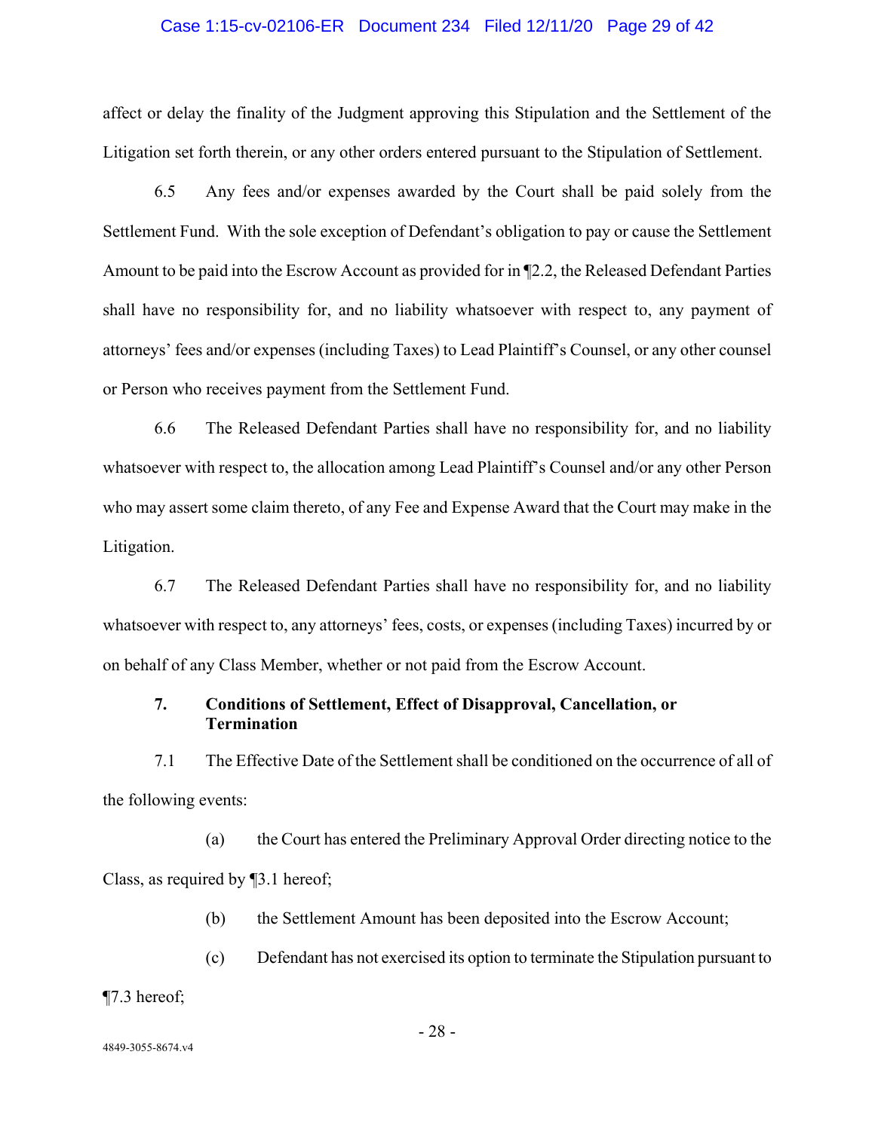### Case 1:15-cv-02106-ER Document 234 Filed 12/11/20 Page 29 of 42

affect or delay the finality of the Judgment approving this Stipulation and the Settlement of the Litigation set forth therein, or any other orders entered pursuant to the Stipulation of Settlement.

6.5 Any fees and/or expenses awarded by the Court shall be paid solely from the Settlement Fund. With the sole exception of Defendant's obligation to pay or cause the Settlement Amount to be paid into the Escrow Account as provided for in ¶2.2, the Released Defendant Parties shall have no responsibility for, and no liability whatsoever with respect to, any payment of attorneys' fees and/or expenses (including Taxes) to Lead Plaintiff's Counsel, or any other counsel or Person who receives payment from the Settlement Fund.

6.6 The Released Defendant Parties shall have no responsibility for, and no liability whatsoever with respect to, the allocation among Lead Plaintiff's Counsel and/or any other Person who may assert some claim thereto, of any Fee and Expense Award that the Court may make in the Litigation.

6.7 The Released Defendant Parties shall have no responsibility for, and no liability whatsoever with respect to, any attorneys' fees, costs, or expenses (including Taxes) incurred by or on behalf of any Class Member, whether or not paid from the Escrow Account.

### **7. Conditions of Settlement, Effect of Disapproval, Cancellation, or Termination**

7.1 The Effective Date of the Settlement shall be conditioned on the occurrence of all of the following events:

(a) the Court has entered the Preliminary Approval Order directing notice to the Class, as required by ¶3.1 hereof;

(b) the Settlement Amount has been deposited into the Escrow Account;

(c) Defendant has not exercised its option to terminate the Stipulation pursuant to

¶7.3 hereof;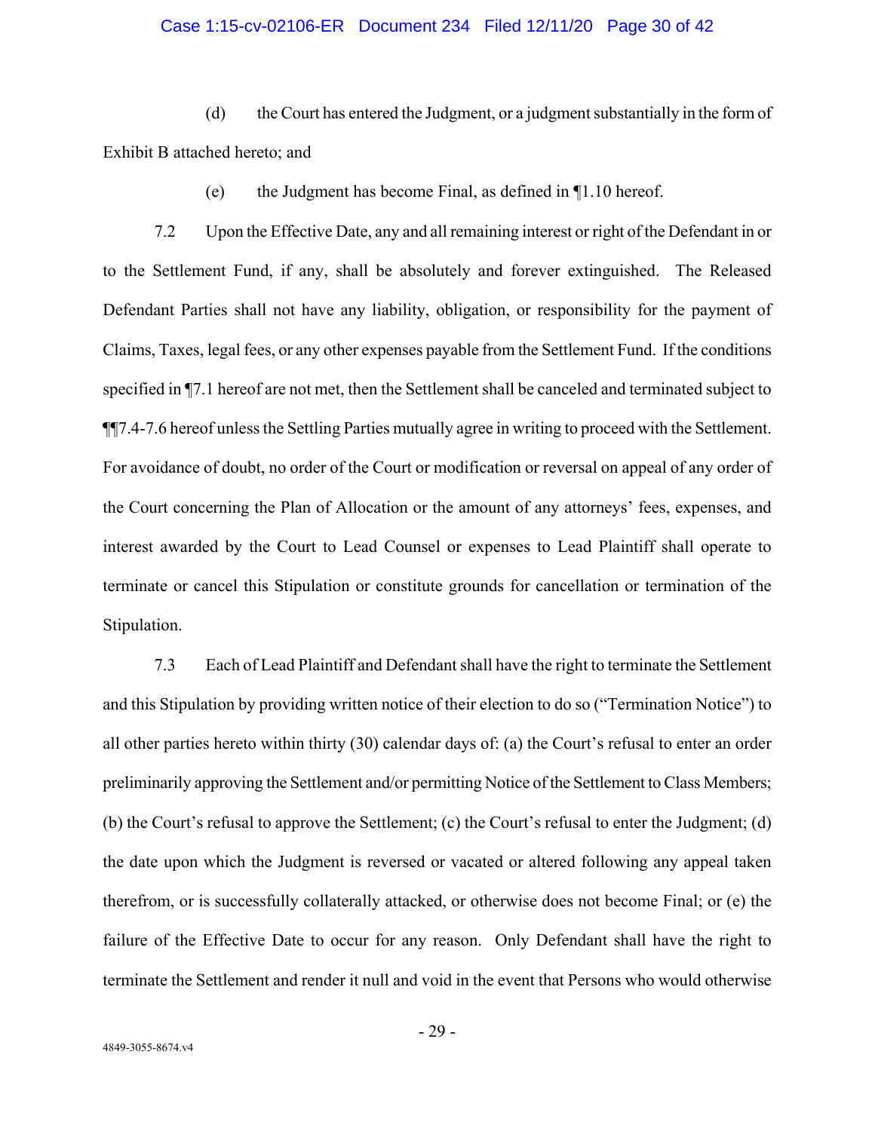### Case 1:15-cv-02106-ER Document 234 Filed 12/11/20 Page 30 of 42

(d) the Court has entered the Judgment, or a judgment substantially in the form of Exhibit B attached hereto; and

(e) the Judgment has become Final, as defined in  $\P$ 1.10 hereof.

7.2 Upon the Effective Date, any and all remaining interest or right of the Defendant in or to the Settlement Fund, if any, shall be absolutely and forever extinguished. The Released Defendant Parties shall not have any liability, obligation, or responsibility for the payment of Claims, Taxes, legal fees, or any other expenses payable from the Settlement Fund. If the conditions specified in ¶7.1 hereof are not met, then the Settlement shall be canceled and terminated subject to ¶¶7.4-7.6 hereof unless the Settling Parties mutually agree in writing to proceed with the Settlement. For avoidance of doubt, no order of the Court or modification or reversal on appeal of any order of the Court concerning the Plan of Allocation or the amount of any attorneys' fees, expenses, and interest awarded by the Court to Lead Counsel or expenses to Lead Plaintiff shall operate to terminate or cancel this Stipulation or constitute grounds for cancellation or termination of the Stipulation.

7.3 Each of Lead Plaintiff and Defendant shall have the right to terminate the Settlement and this Stipulation by providing written notice of their election to do so ("Termination Notice") to all other parties hereto within thirty (30) calendar days of: (a) the Court's refusal to enter an order preliminarily approving the Settlement and/or permitting Notice of the Settlement to Class Members; (b) the Court's refusal to approve the Settlement; (c) the Court's refusal to enter the Judgment; (d) the date upon which the Judgment is reversed or vacated or altered following any appeal taken therefrom, or is successfully collaterally attacked, or otherwise does not become Final; or (e) the failure of the Effective Date to occur for any reason. Only Defendant shall have the right to terminate the Settlement and render it null and void in the event that Persons who would otherwise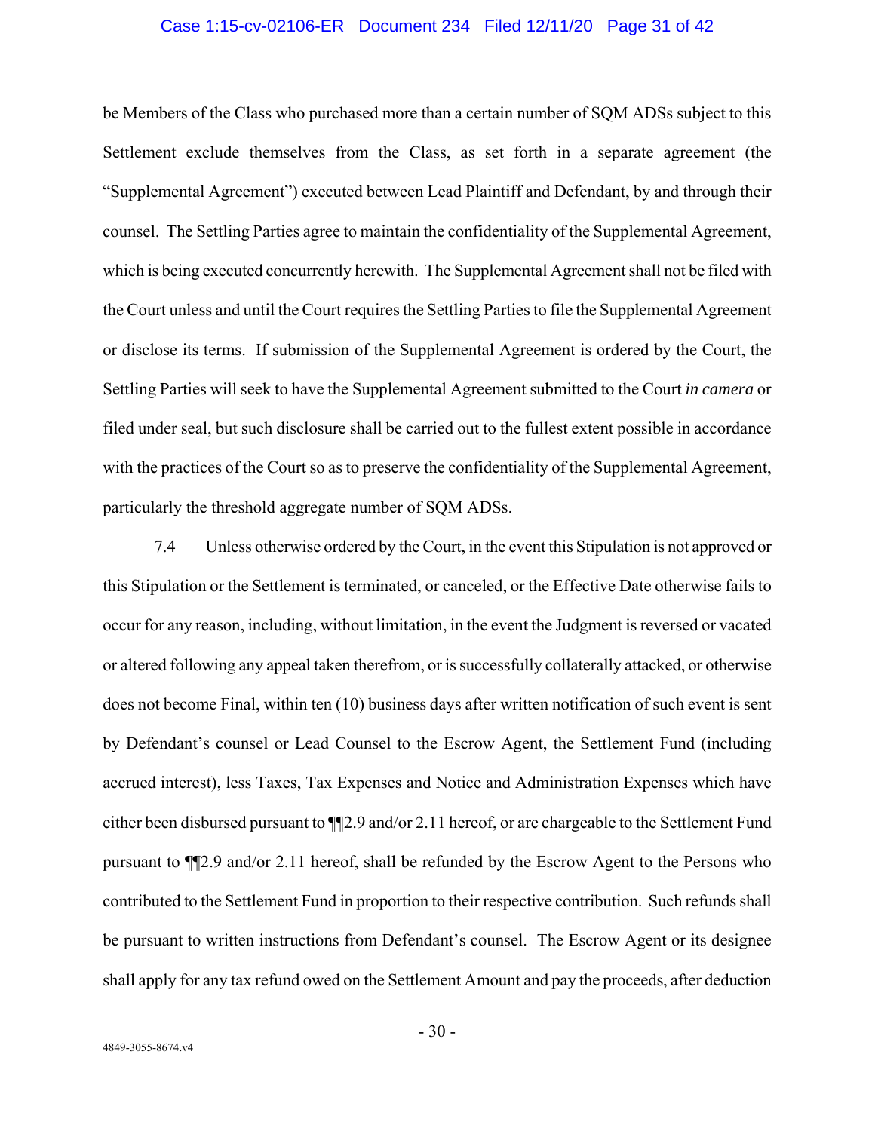### Case 1:15-cv-02106-ER Document 234 Filed 12/11/20 Page 31 of 42

be Members of the Class who purchased more than a certain number of SQM ADSs subject to this Settlement exclude themselves from the Class, as set forth in a separate agreement (the "Supplemental Agreement") executed between Lead Plaintiff and Defendant, by and through their counsel. The Settling Parties agree to maintain the confidentiality of the Supplemental Agreement, which is being executed concurrently herewith. The Supplemental Agreement shall not be filed with the Court unless and until the Court requires the Settling Parties to file the Supplemental Agreement or disclose its terms. If submission of the Supplemental Agreement is ordered by the Court, the Settling Parties will seek to have the Supplemental Agreement submitted to the Court *in camera* or filed under seal, but such disclosure shall be carried out to the fullest extent possible in accordance with the practices of the Court so as to preserve the confidentiality of the Supplemental Agreement, particularly the threshold aggregate number of SQM ADSs.

7.4 Unless otherwise ordered by the Court, in the event this Stipulation is not approved or this Stipulation or the Settlement is terminated, or canceled, or the Effective Date otherwise fails to occur for any reason, including, without limitation, in the event the Judgment is reversed or vacated or altered following any appeal taken therefrom, or is successfully collaterally attacked, or otherwise does not become Final, within ten (10) business days after written notification of such event is sent by Defendant's counsel or Lead Counsel to the Escrow Agent, the Settlement Fund (including accrued interest), less Taxes, Tax Expenses and Notice and Administration Expenses which have either been disbursed pursuant to ¶¶2.9 and/or 2.11 hereof, or are chargeable to the Settlement Fund pursuant to ¶¶2.9 and/or 2.11 hereof, shall be refunded by the Escrow Agent to the Persons who contributed to the Settlement Fund in proportion to their respective contribution. Such refunds shall be pursuant to written instructions from Defendant's counsel. The Escrow Agent or its designee shall apply for any tax refund owed on the Settlement Amount and pay the proceeds, after deduction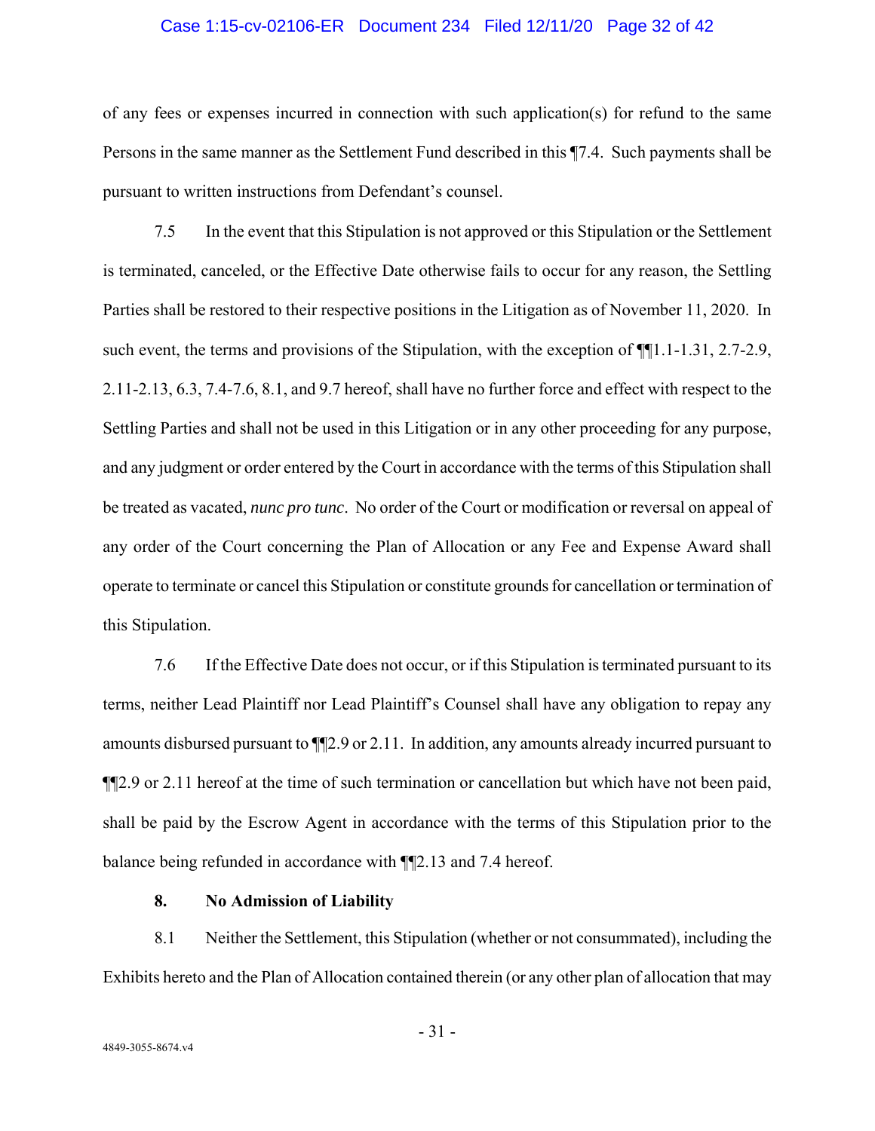### Case 1:15-cv-02106-ER Document 234 Filed 12/11/20 Page 32 of 42

of any fees or expenses incurred in connection with such application(s) for refund to the same Persons in the same manner as the Settlement Fund described in this ¶7.4. Such payments shall be pursuant to written instructions from Defendant's counsel.

7.5 In the event that this Stipulation is not approved or this Stipulation or the Settlement is terminated, canceled, or the Effective Date otherwise fails to occur for any reason, the Settling Parties shall be restored to their respective positions in the Litigation as of November 11, 2020. In such event, the terms and provisions of the Stipulation, with the exception of  $\P$ [1.1-1.31, 2.7-2.9, 2.11-2.13, 6.3, 7.4-7.6, 8.1, and 9.7 hereof, shall have no further force and effect with respect to the Settling Parties and shall not be used in this Litigation or in any other proceeding for any purpose, and any judgment or order entered by the Court in accordance with the terms of this Stipulation shall be treated as vacated, *nunc pro tunc*. No order of the Court or modification or reversal on appeal of any order of the Court concerning the Plan of Allocation or any Fee and Expense Award shall operate to terminate or cancel this Stipulation or constitute grounds for cancellation or termination of this Stipulation.

7.6 If the Effective Date does not occur, or if this Stipulation is terminated pursuant to its terms, neither Lead Plaintiff nor Lead Plaintiff's Counsel shall have any obligation to repay any amounts disbursed pursuant to ¶¶2.9 or 2.11. In addition, any amounts already incurred pursuant to ¶¶2.9 or 2.11 hereof at the time of such termination or cancellation but which have not been paid, shall be paid by the Escrow Agent in accordance with the terms of this Stipulation prior to the balance being refunded in accordance with ¶¶2.13 and 7.4 hereof.

### **8. No Admission of Liability**

8.1 Neither the Settlement, this Stipulation (whether or not consummated), including the Exhibits hereto and the Plan of Allocation contained therein (or any other plan of allocation that may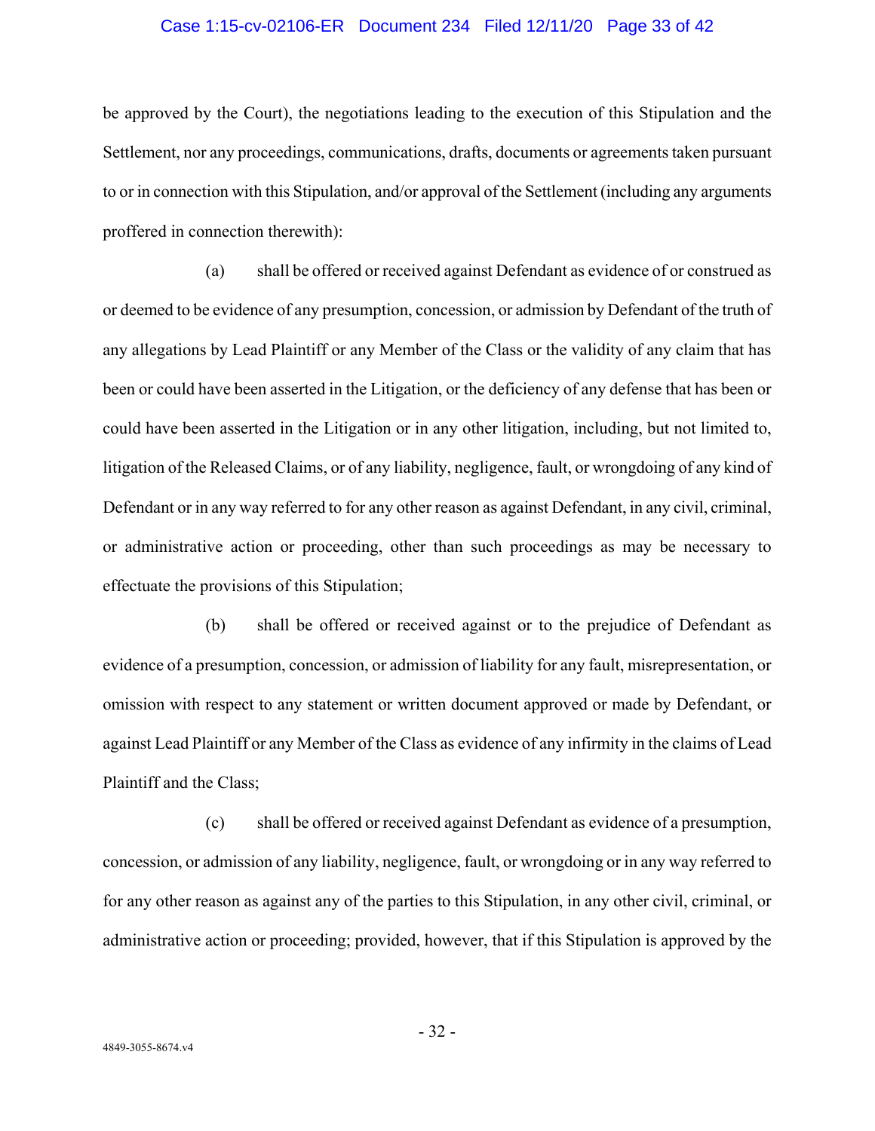### Case 1:15-cv-02106-ER Document 234 Filed 12/11/20 Page 33 of 42

be approved by the Court), the negotiations leading to the execution of this Stipulation and the Settlement, nor any proceedings, communications, drafts, documents or agreements taken pursuant to or in connection with this Stipulation, and/or approval of the Settlement (including any arguments proffered in connection therewith):

(a) shall be offered or received against Defendant as evidence of or construed as or deemed to be evidence of any presumption, concession, or admission by Defendant of the truth of any allegations by Lead Plaintiff or any Member of the Class or the validity of any claim that has been or could have been asserted in the Litigation, or the deficiency of any defense that has been or could have been asserted in the Litigation or in any other litigation, including, but not limited to, litigation of the Released Claims, or of any liability, negligence, fault, or wrongdoing of any kind of Defendant or in any way referred to for any other reason as against Defendant, in any civil, criminal, or administrative action or proceeding, other than such proceedings as may be necessary to effectuate the provisions of this Stipulation;

(b) shall be offered or received against or to the prejudice of Defendant as evidence of a presumption, concession, or admission of liability for any fault, misrepresentation, or omission with respect to any statement or written document approved or made by Defendant, or against Lead Plaintiff or any Member of the Class as evidence of any infirmity in the claims of Lead Plaintiff and the Class;

(c) shall be offered or received against Defendant as evidence of a presumption, concession, or admission of any liability, negligence, fault, or wrongdoing or in any way referred to for any other reason as against any of the parties to this Stipulation, in any other civil, criminal, or administrative action or proceeding; provided, however, that if this Stipulation is approved by the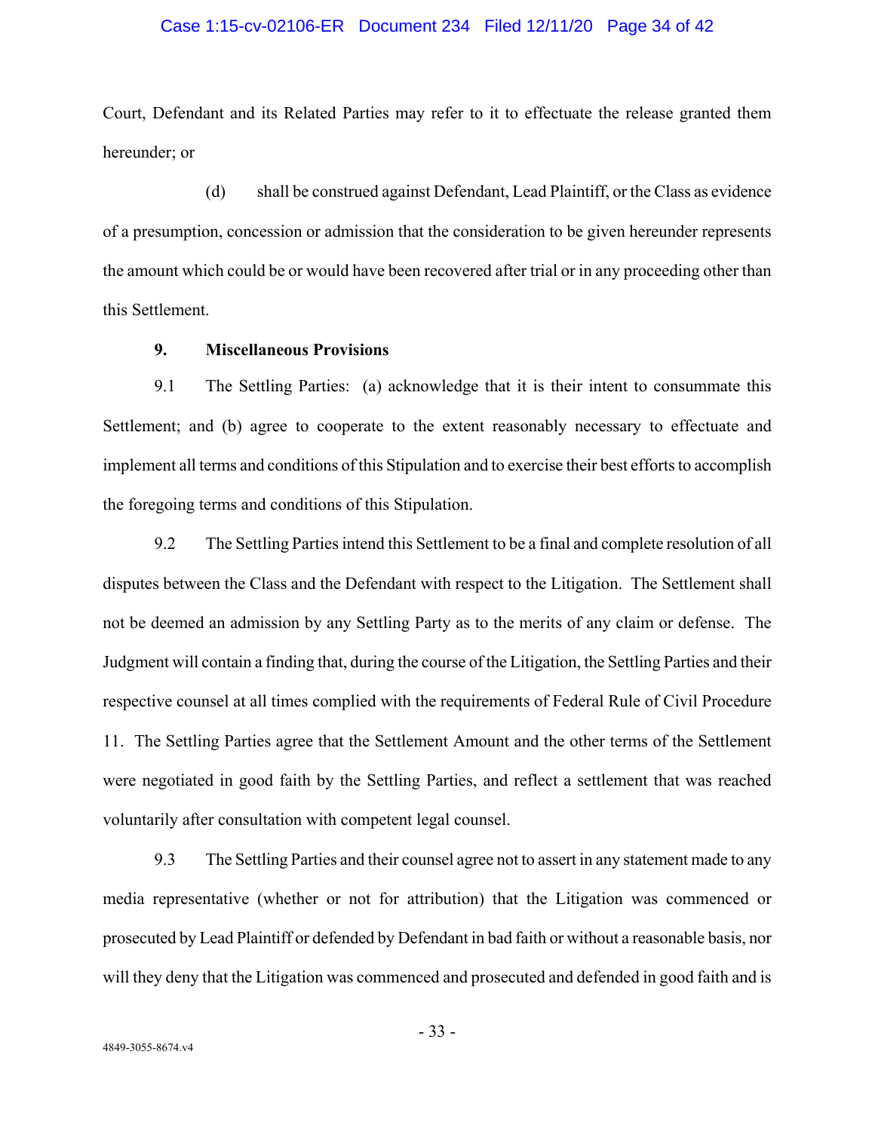### Case 1:15-cv-02106-ER Document 234 Filed 12/11/20 Page 34 of 42

Court, Defendant and its Related Parties may refer to it to effectuate the release granted them hereunder; or

(d) shall be construed against Defendant, Lead Plaintiff, or the Class as evidence of a presumption, concession or admission that the consideration to be given hereunder represents the amount which could be or would have been recovered after trial or in any proceeding other than this Settlement.

### **9. Miscellaneous Provisions**

9.1 The Settling Parties: (a) acknowledge that it is their intent to consummate this Settlement; and (b) agree to cooperate to the extent reasonably necessary to effectuate and implement all terms and conditions of this Stipulation and to exercise their best efforts to accomplish the foregoing terms and conditions of this Stipulation.

9.2 The Settling Parties intend this Settlement to be a final and complete resolution of all disputes between the Class and the Defendant with respect to the Litigation. The Settlement shall not be deemed an admission by any Settling Party as to the merits of any claim or defense. The Judgment will contain a finding that, during the course of the Litigation, the Settling Parties and their respective counsel at all times complied with the requirements of Federal Rule of Civil Procedure 11. The Settling Parties agree that the Settlement Amount and the other terms of the Settlement were negotiated in good faith by the Settling Parties, and reflect a settlement that was reached voluntarily after consultation with competent legal counsel.

9.3 The Settling Parties and their counsel agree not to assert in any statement made to any media representative (whether or not for attribution) that the Litigation was commenced or prosecuted by Lead Plaintiff or defended by Defendant in bad faith or without a reasonable basis, nor will they deny that the Litigation was commenced and prosecuted and defended in good faith and is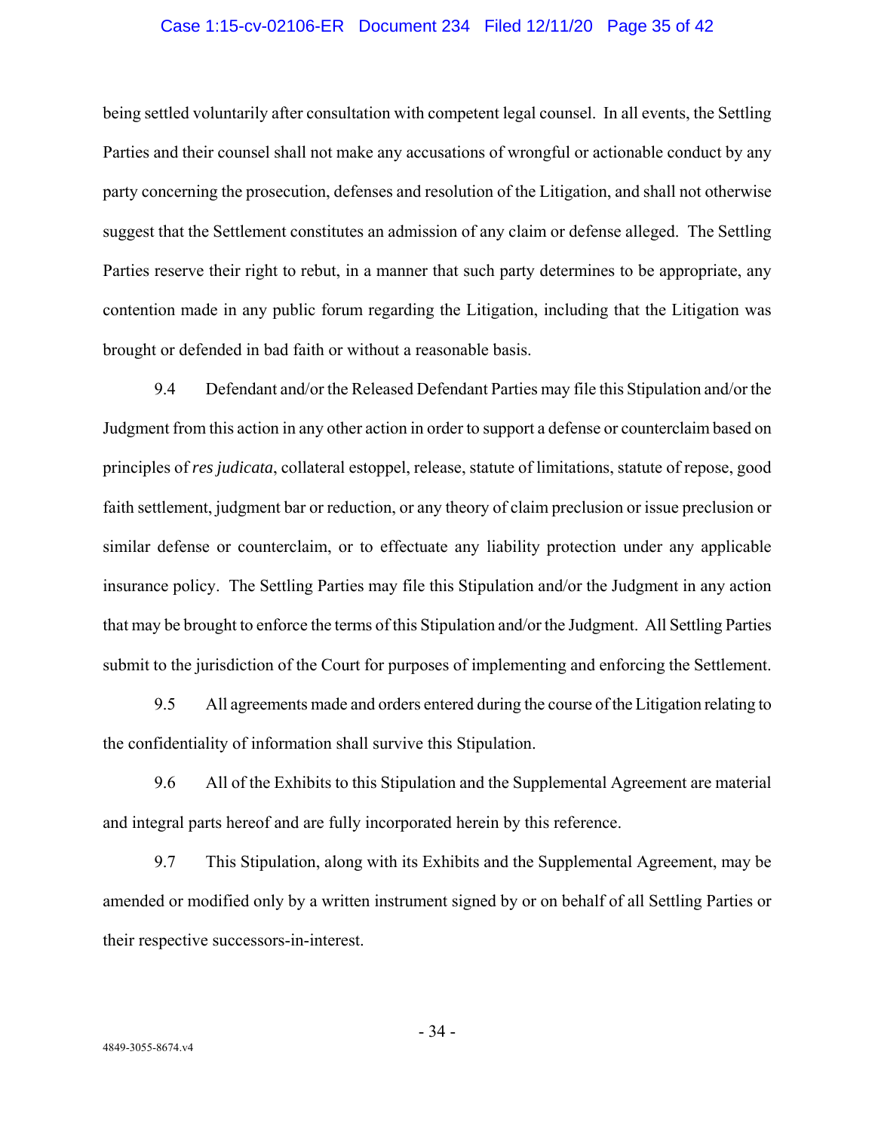### Case 1:15-cv-02106-ER Document 234 Filed 12/11/20 Page 35 of 42

being settled voluntarily after consultation with competent legal counsel. In all events, the Settling Parties and their counsel shall not make any accusations of wrongful or actionable conduct by any party concerning the prosecution, defenses and resolution of the Litigation, and shall not otherwise suggest that the Settlement constitutes an admission of any claim or defense alleged. The Settling Parties reserve their right to rebut, in a manner that such party determines to be appropriate, any contention made in any public forum regarding the Litigation, including that the Litigation was brought or defended in bad faith or without a reasonable basis.

9.4 Defendant and/or the Released Defendant Parties may file this Stipulation and/or the Judgment from this action in any other action in order to support a defense or counterclaim based on principles of *res judicata*, collateral estoppel, release, statute of limitations, statute of repose, good faith settlement, judgment bar or reduction, or any theory of claim preclusion or issue preclusion or similar defense or counterclaim, or to effectuate any liability protection under any applicable insurance policy. The Settling Parties may file this Stipulation and/or the Judgment in any action that may be brought to enforce the terms of this Stipulation and/or the Judgment. All Settling Parties submit to the jurisdiction of the Court for purposes of implementing and enforcing the Settlement.

9.5 All agreements made and orders entered during the course of the Litigation relating to the confidentiality of information shall survive this Stipulation.

9.6 All of the Exhibits to this Stipulation and the Supplemental Agreement are material and integral parts hereof and are fully incorporated herein by this reference.

9.7 This Stipulation, along with its Exhibits and the Supplemental Agreement, may be amended or modified only by a written instrument signed by or on behalf of all Settling Parties or their respective successors-in-interest.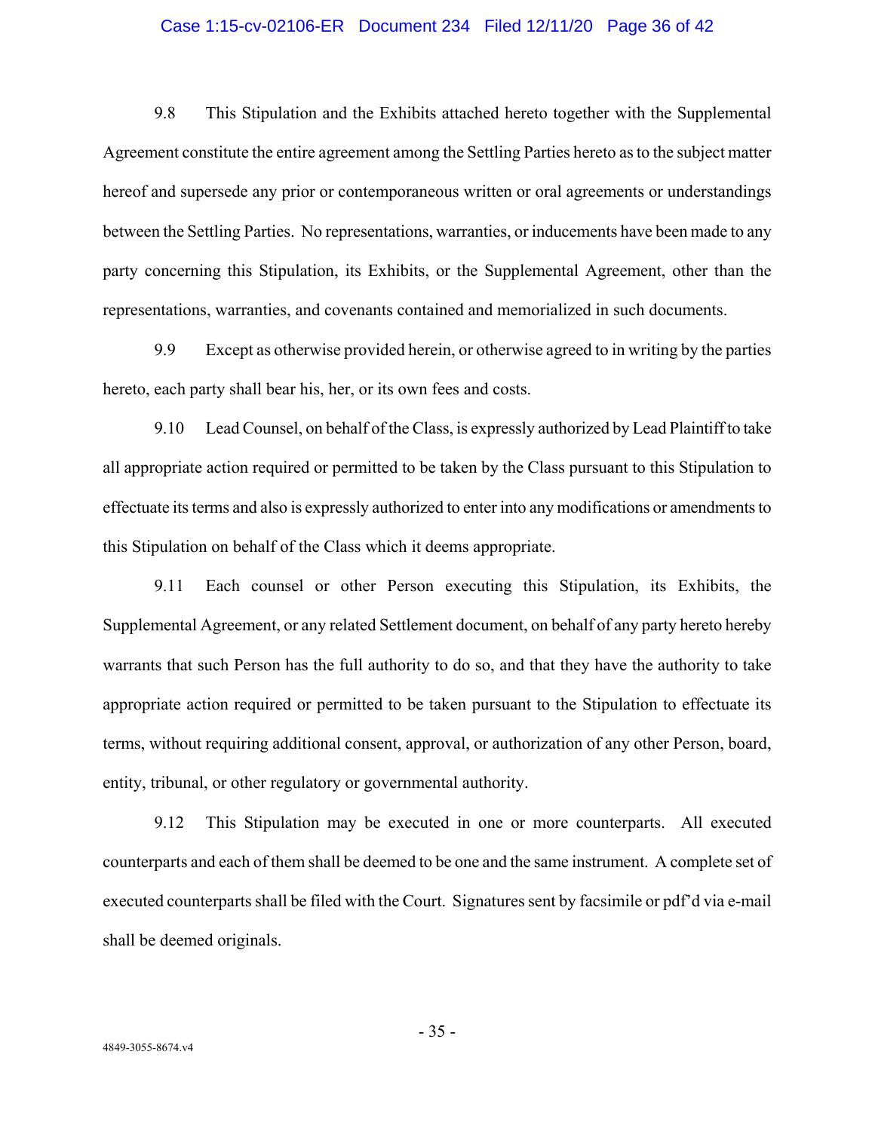### Case 1:15-cv-02106-ER Document 234 Filed 12/11/20 Page 36 of 42

9.8 This Stipulation and the Exhibits attached hereto together with the Supplemental Agreement constitute the entire agreement among the Settling Parties hereto as to the subject matter hereof and supersede any prior or contemporaneous written or oral agreements or understandings between the Settling Parties. No representations, warranties, or inducements have been made to any party concerning this Stipulation, its Exhibits, or the Supplemental Agreement, other than the representations, warranties, and covenants contained and memorialized in such documents.

9.9 Except as otherwise provided herein, or otherwise agreed to in writing by the parties hereto, each party shall bear his, her, or its own fees and costs.

9.10 Lead Counsel, on behalf of the Class, is expressly authorized by Lead Plaintiff to take all appropriate action required or permitted to be taken by the Class pursuant to this Stipulation to effectuate its terms and also is expressly authorized to enter into any modifications or amendments to this Stipulation on behalf of the Class which it deems appropriate.

9.11 Each counsel or other Person executing this Stipulation, its Exhibits, the Supplemental Agreement, or any related Settlement document, on behalf of any party hereto hereby warrants that such Person has the full authority to do so, and that they have the authority to take appropriate action required or permitted to be taken pursuant to the Stipulation to effectuate its terms, without requiring additional consent, approval, or authorization of any other Person, board, entity, tribunal, or other regulatory or governmental authority.

9.12 This Stipulation may be executed in one or more counterparts. All executed counterparts and each of them shall be deemed to be one and the same instrument. A complete set of executed counterparts shall be filed with the Court. Signatures sent by facsimile or pdf'd via e-mail shall be deemed originals.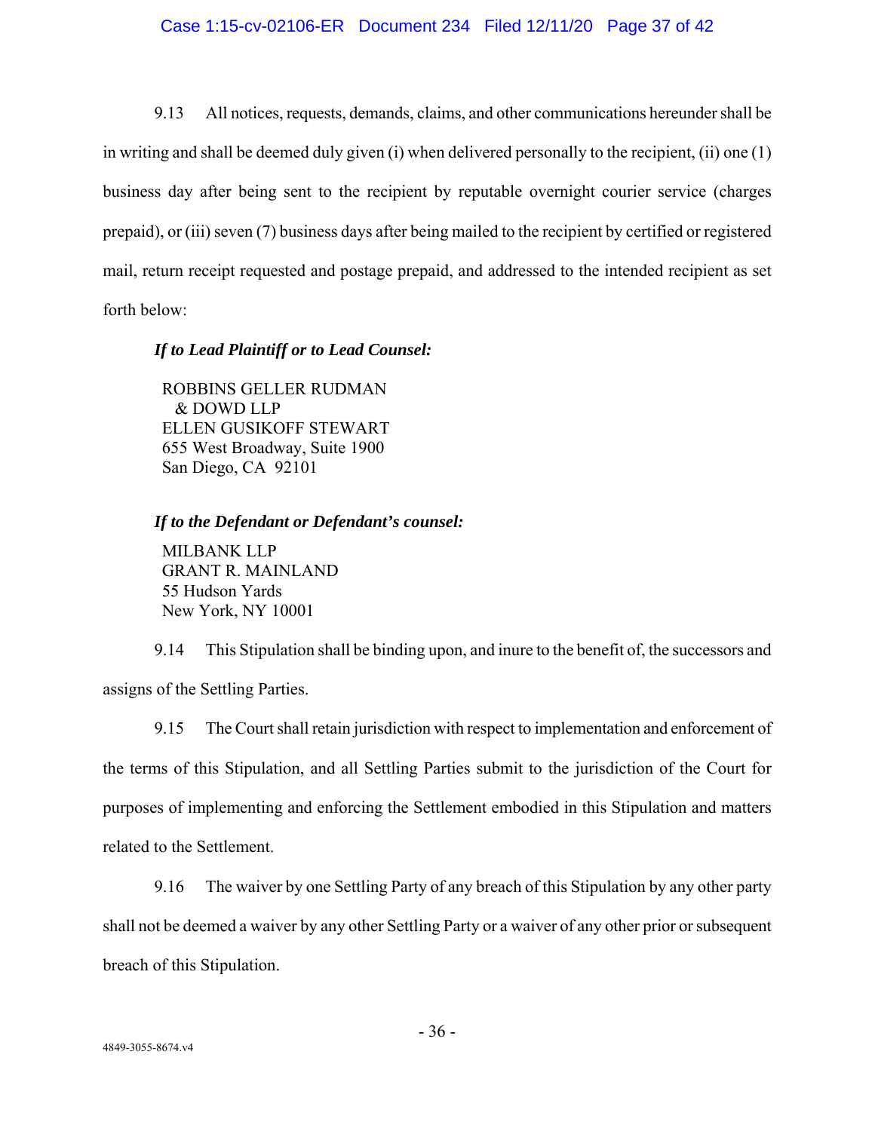### Case 1:15-cv-02106-ER Document 234 Filed 12/11/20 Page 37 of 42

9.13 All notices, requests, demands, claims, and other communications hereunder shall be in writing and shall be deemed duly given (i) when delivered personally to the recipient, (ii) one (1) business day after being sent to the recipient by reputable overnight courier service (charges prepaid), or (iii) seven (7) business days after being mailed to the recipient by certified or registered mail, return receipt requested and postage prepaid, and addressed to the intended recipient as set forth below:

### *If to Lead Plaintiff or to Lead Counsel:*

ROBBINS GELLER RUDMAN & DOWD LLP ELLEN GUSIKOFF STEWART 655 West Broadway, Suite 1900 San Diego, CA 92101

### *If to the Defendant or Defendant's counsel:*

MILBANK LLP GRANT R. MAINLAND 55 Hudson Yards New York, NY 10001

9.14 This Stipulation shall be binding upon, and inure to the benefit of, the successors and assigns of the Settling Parties.

9.15 The Court shall retain jurisdiction with respect to implementation and enforcement of the terms of this Stipulation, and all Settling Parties submit to the jurisdiction of the Court for purposes of implementing and enforcing the Settlement embodied in this Stipulation and matters related to the Settlement.

9.16 The waiver by one Settling Party of any breach of this Stipulation by any other party shall not be deemed a waiver by any other Settling Party or a waiver of any other prior or subsequent breach of this Stipulation.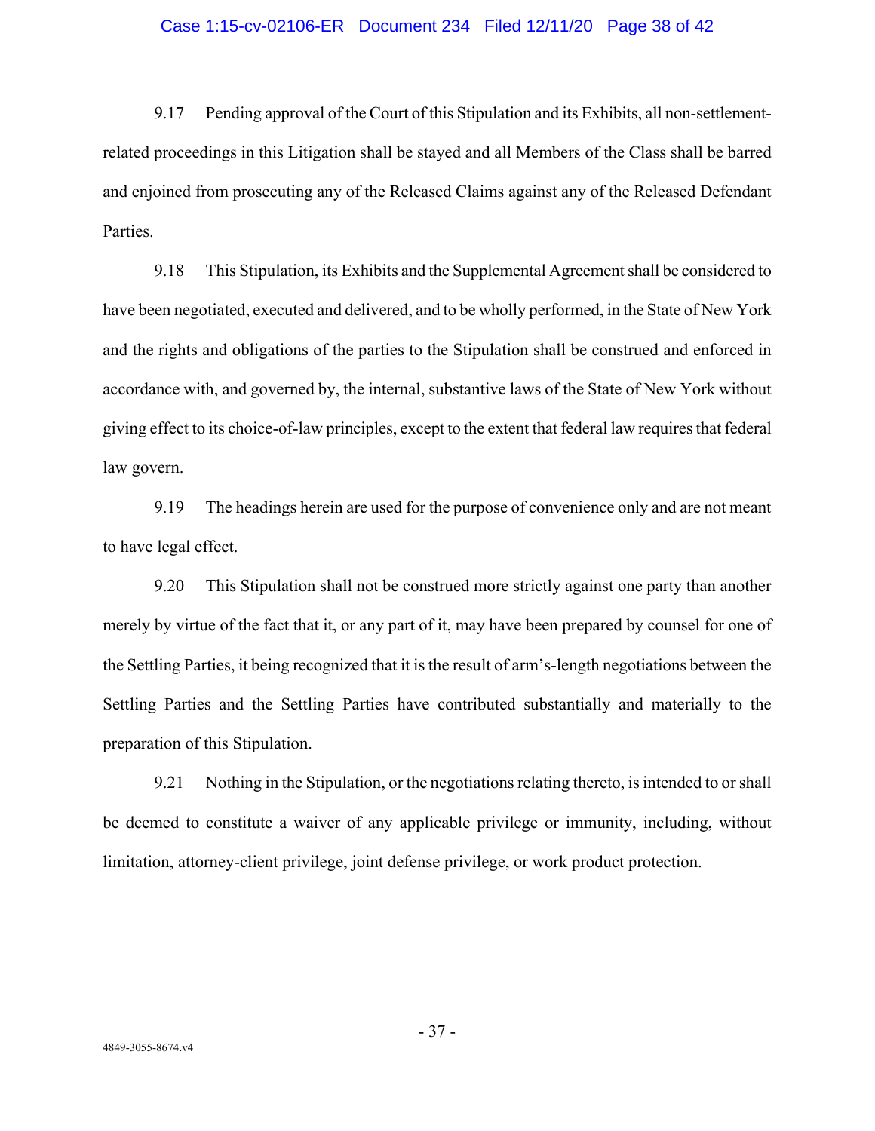### Case 1:15-cv-02106-ER Document 234 Filed 12/11/20 Page 38 of 42

9.17 Pending approval of the Court of this Stipulation and its Exhibits, all non-settlementrelated proceedings in this Litigation shall be stayed and all Members of the Class shall be barred and enjoined from prosecuting any of the Released Claims against any of the Released Defendant Parties.

9.18 This Stipulation, its Exhibits and the Supplemental Agreement shall be considered to have been negotiated, executed and delivered, and to be wholly performed, in the State of New York and the rights and obligations of the parties to the Stipulation shall be construed and enforced in accordance with, and governed by, the internal, substantive laws of the State of New York without giving effect to its choice-of-law principles, except to the extent that federal law requires that federal law govern.

9.19 The headings herein are used for the purpose of convenience only and are not meant to have legal effect.

9.20 This Stipulation shall not be construed more strictly against one party than another merely by virtue of the fact that it, or any part of it, may have been prepared by counsel for one of the Settling Parties, it being recognized that it is the result of arm's-length negotiations between the Settling Parties and the Settling Parties have contributed substantially and materially to the preparation of this Stipulation.

9.21 Nothing in the Stipulation, or the negotiations relating thereto, is intended to or shall be deemed to constitute a waiver of any applicable privilege or immunity, including, without limitation, attorney-client privilege, joint defense privilege, or work product protection.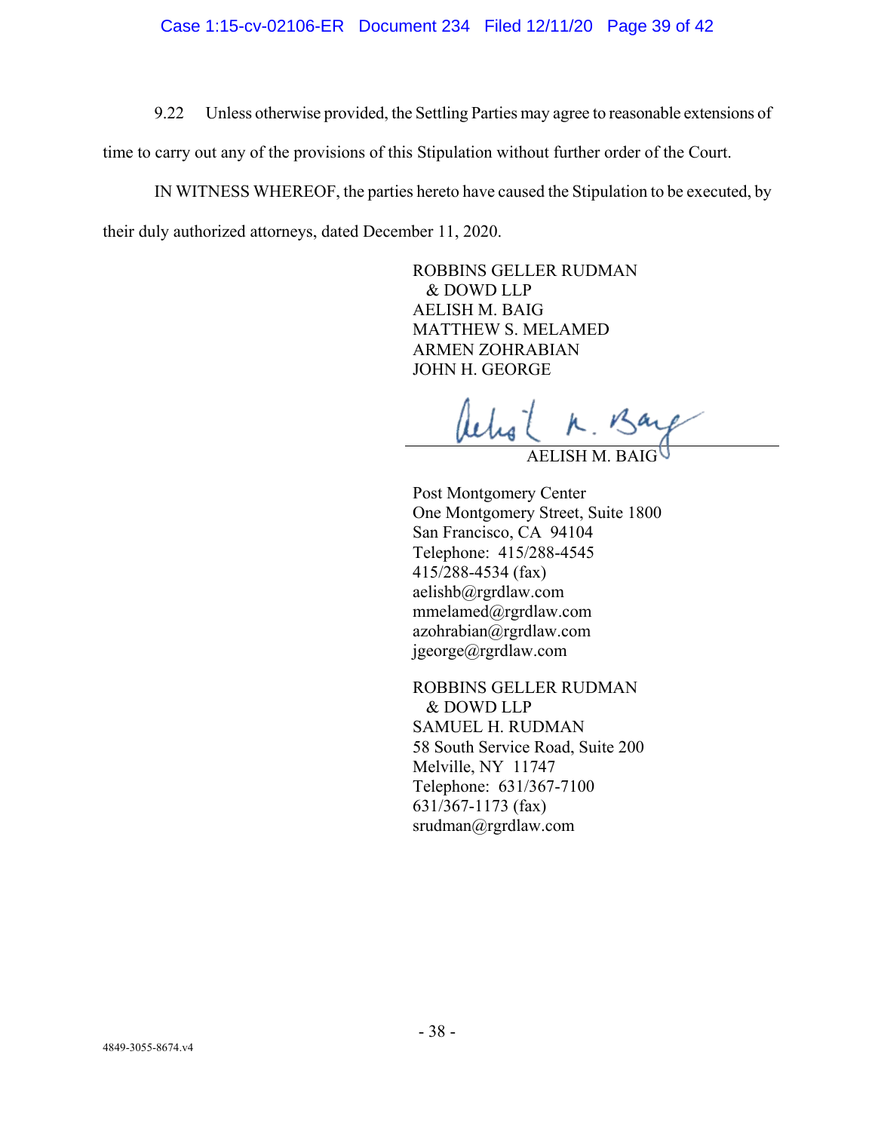### Case 1:15-cv-02106-ER Document 234 Filed 12/11/20 Page 39 of 42

9.22 Unless otherwise provided, the Settling Parties may agree to reasonable extensions of

time to carry out any of the provisions of this Stipulation without further order of the Court.

IN WITNESS WHEREOF, the parties hereto have caused the Stipulation to be executed, by their duly authorized attorneys, dated December 11, 2020.

> ROBBINS GELLER RUDMAN & DOWD LLP AELISH M. BAIG MATTHEW S. MELAMED ARMEN ZOHRABIAN JOHN H. GEORGE

AELISH M. BAIG

Post Montgomery Center One Montgomery Street, Suite 1800 San Francisco, CA 94104 Telephone: 415/288-4545 415/288-4534 (fax) aelishb@rgrdlaw.com mmelamed@rgrdlaw.com azohrabian@rgrdlaw.com jgeorge@rgrdlaw.com

ROBBINS GELLER RUDMAN & DOWD LLP SAMUEL H. RUDMAN 58 South Service Road, Suite 200 Melville, NY 11747 Telephone: 631/367-7100 631/367-1173 (fax) srudman@rgrdlaw.com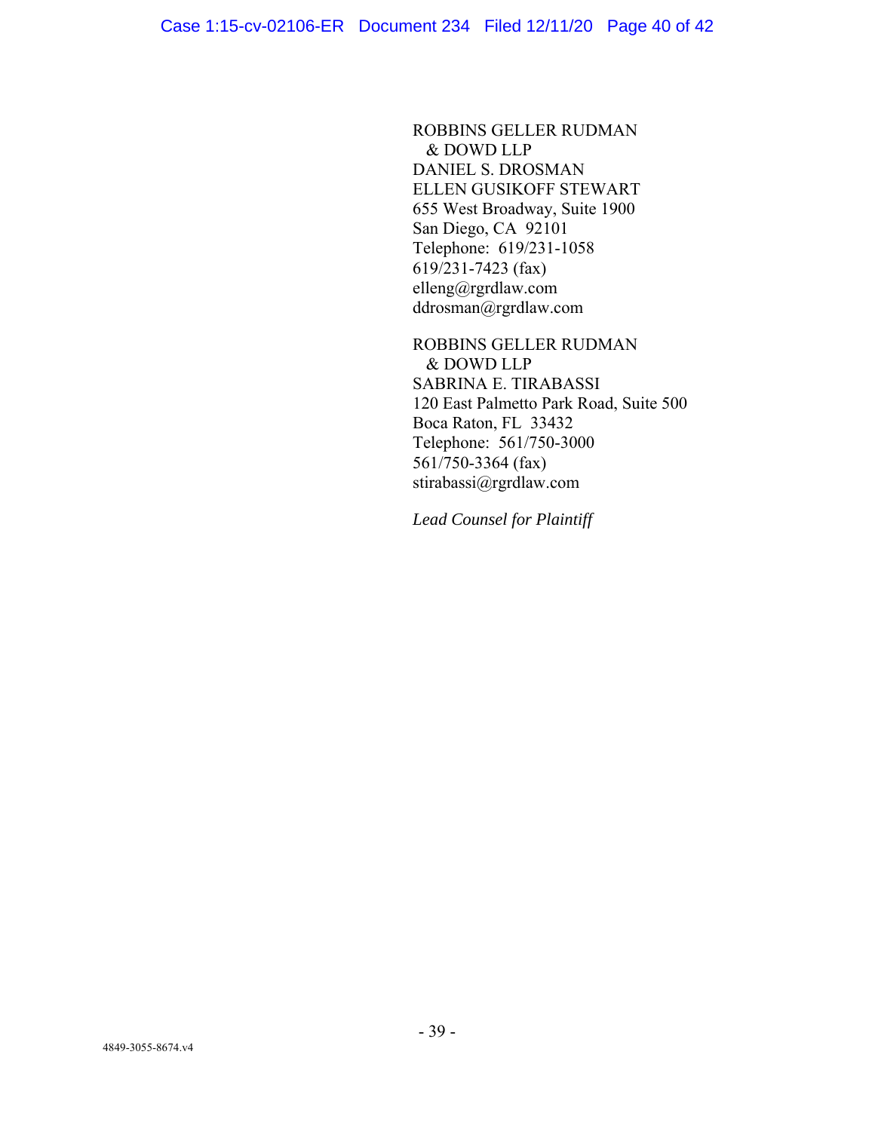ROBBINS GELLER RUDMAN & DOWD LLP DANIEL S. DROSMAN ELLEN GUSIKOFF STEWART 655 West Broadway, Suite 1900 San Diego, CA 92101 Telephone: 619/231-1058 619/231-7423 (fax) elleng@rgrdlaw.com ddrosman@rgrdlaw.com

ROBBINS GELLER RUDMAN & DOWD LLP SABRINA E. TIRABASSI 120 East Palmetto Park Road, Suite 500 Boca Raton, FL 33432 Telephone: 561/750-3000 561/750-3364 (fax) stirabassi@rgrdlaw.com

*Lead Counsel for Plaintiff*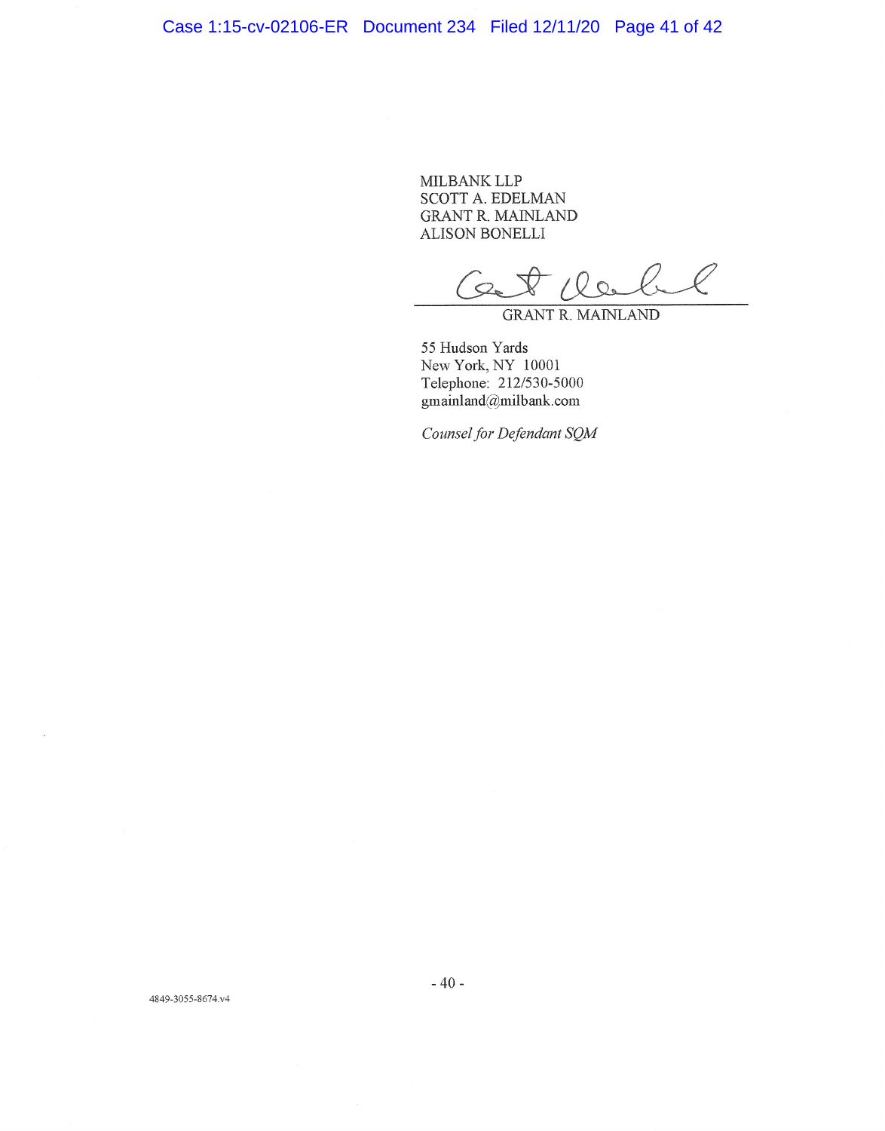MILBANK LLP **SCOTT A. EDELMAN GRANT R. MAINLAND** ALISON BONELLI

Cet dell

**GRANT R. MAINLAND** 

55 Hudson Yards New York, NY 10001 Telephone: 212/530-5000  $g$ mainland@milbank.com

Counsel for Defendant SQM

4849-3055-8674.v4

 $-40-$